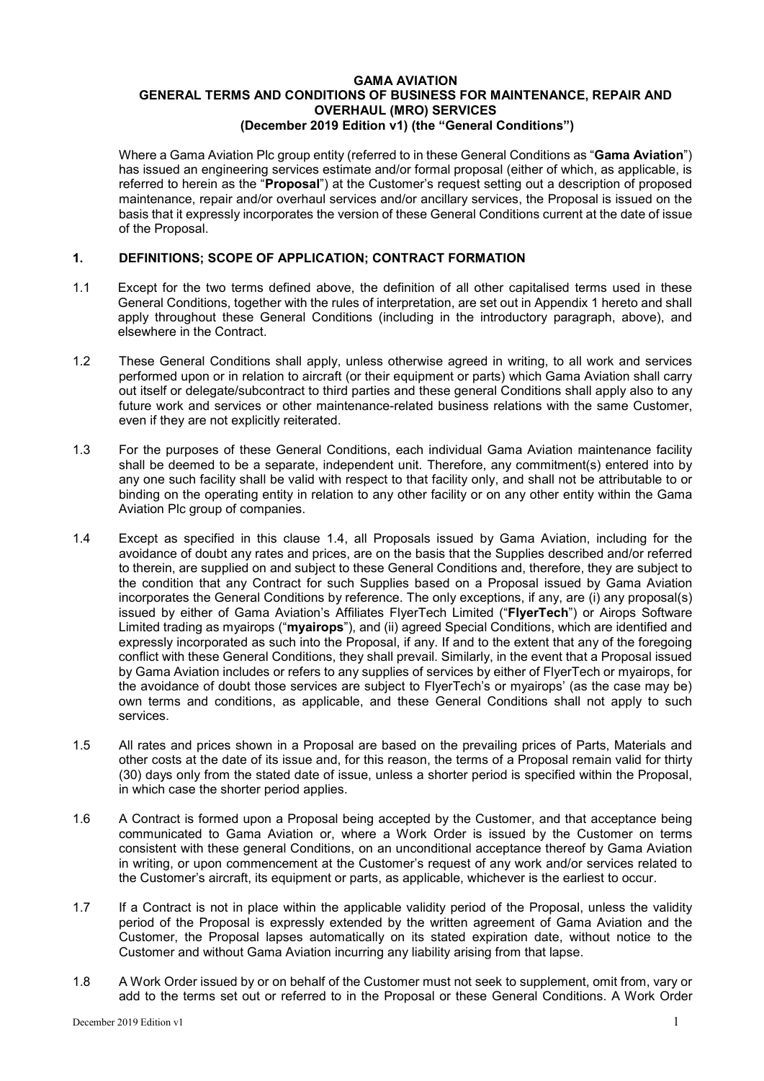#### **GAMA AVIATION GENERAL TERMS AND CONDITIONS OF BUSINESS FOR MAINTENANCE, REPAIR AND OVERHAUL (MRO) SERVICES (December 2019 Edition v1) (the "General Conditions")**

Where a Gama Aviation Plc group entity (referred to in these General Conditions as "**Gama Aviation**") has issued an engineering services estimate and/or formal proposal (either of which, as applicable, is referred to herein as the "**Proposal**") at the Customer's request setting out a description of proposed maintenance, repair and/or overhaul services and/or ancillary services, the Proposal is issued on the basis that it expressly incorporates the version of these General Conditions current at the date of issue of the Proposal.

## **1. DEFINITIONS; SCOPE OF APPLICATION; CONTRACT FORMATION**

- 1.1 Except for the two terms defined above, the definition of all other capitalised terms used in these General Conditions, together with the rules of interpretation, are set out in Appendix 1 hereto and shall apply throughout these General Conditions (including in the introductory paragraph, above), and elsewhere in the Contract.
- 1.2 These General Conditions shall apply, unless otherwise agreed in writing, to all work and services performed upon or in relation to aircraft (or their equipment or parts) which Gama Aviation shall carry out itself or delegate/subcontract to third parties and these general Conditions shall apply also to any future work and services or other maintenance-related business relations with the same Customer, even if they are not explicitly reiterated.
- 1.3 For the purposes of these General Conditions, each individual Gama Aviation maintenance facility shall be deemed to be a separate, independent unit. Therefore, any commitment(s) entered into by any one such facility shall be valid with respect to that facility only, and shall not be attributable to or binding on the operating entity in relation to any other facility or on any other entity within the Gama Aviation Plc group of companies.
- 1.4 Except as specified in this clause 1.4, all Proposals issued by Gama Aviation, including for the avoidance of doubt any rates and prices, are on the basis that the Supplies described and/or referred to therein, are supplied on and subject to these General Conditions and, therefore, they are subject to the condition that any Contract for such Supplies based on a Proposal issued by Gama Aviation incorporates the General Conditions by reference. The only exceptions, if any, are (i) any proposal(s) issued by either of Gama Aviation's Affiliates FlyerTech Limited ("**FlyerTech**") or Airops Software Limited trading as myairops ("**myairops**"), and (ii) agreed Special Conditions, which are identified and expressly incorporated as such into the Proposal, if any. If and to the extent that any of the foregoing conflict with these General Conditions, they shall prevail. Similarly, in the event that a Proposal issued by Gama Aviation includes or refers to any supplies of services by either of FlyerTech or myairops, for the avoidance of doubt those services are subject to FlyerTech's or myairops' (as the case may be) own terms and conditions, as applicable, and these General Conditions shall not apply to such services.
- 1.5 All rates and prices shown in a Proposal are based on the prevailing prices of Parts, Materials and other costs at the date of its issue and, for this reason, the terms of a Proposal remain valid for thirty (30) days only from the stated date of issue, unless a shorter period is specified within the Proposal, in which case the shorter period applies.
- 1.6 A Contract is formed upon a Proposal being accepted by the Customer, and that acceptance being communicated to Gama Aviation or, where a Work Order is issued by the Customer on terms consistent with these general Conditions, on an unconditional acceptance thereof by Gama Aviation in writing, or upon commencement at the Customer's request of any work and/or services related to the Customer's aircraft, its equipment or parts, as applicable, whichever is the earliest to occur.
- 1.7 If a Contract is not in place within the applicable validity period of the Proposal, unless the validity period of the Proposal is expressly extended by the written agreement of Gama Aviation and the Customer, the Proposal lapses automatically on its stated expiration date, without notice to the Customer and without Gama Aviation incurring any liability arising from that lapse.
- 1.8 A Work Order issued by or on behalf of the Customer must not seek to supplement, omit from, vary or add to the terms set out or referred to in the Proposal or these General Conditions. A Work Order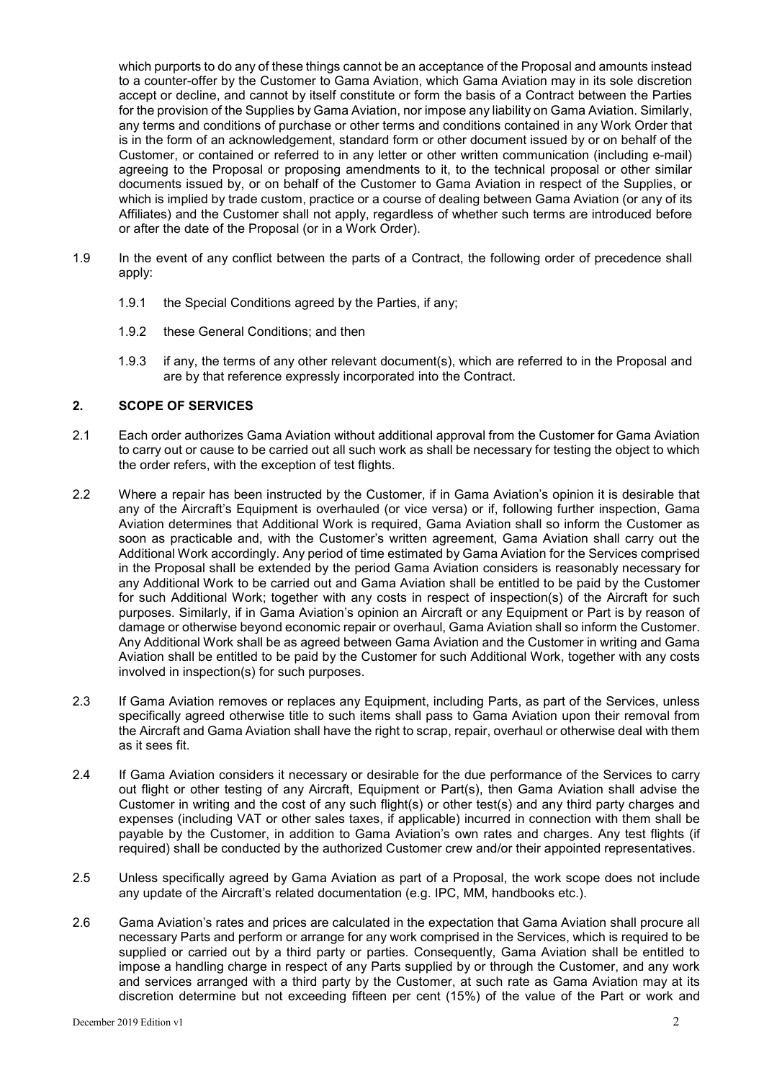which purports to do any of these things cannot be an acceptance of the Proposal and amounts instead to a counter-offer by the Customer to Gama Aviation, which Gama Aviation may in its sole discretion accept or decline, and cannot by itself constitute or form the basis of a Contract between the Parties for the provision of the Supplies by Gama Aviation, nor impose any liability on Gama Aviation. Similarly, any terms and conditions of purchase or other terms and conditions contained in any Work Order that is in the form of an acknowledgement, standard form or other document issued by or on behalf of the Customer, or contained or referred to in any letter or other written communication (including e-mail) agreeing to the Proposal or proposing amendments to it, to the technical proposal or other similar documents issued by, or on behalf of the Customer to Gama Aviation in respect of the Supplies, or which is implied by trade custom, practice or a course of dealing between Gama Aviation (or any of its Affiliates) and the Customer shall not apply, regardless of whether such terms are introduced before or after the date of the Proposal (or in a Work Order).

- 1.9 In the event of any conflict between the parts of a Contract, the following order of precedence shall apply:
	- 1.9.1 the Special Conditions agreed by the Parties, if any;
	- 1.9.2 these General Conditions; and then
	- 1.9.3 if any, the terms of any other relevant document(s), which are referred to in the Proposal and are by that reference expressly incorporated into the Contract.

#### **2. SCOPE OF SERVICES**

- 2.1 Each order authorizes Gama Aviation without additional approval from the Customer for Gama Aviation to carry out or cause to be carried out all such work as shall be necessary for testing the object to which the order refers, with the exception of test flights.
- 2.2 Where a repair has been instructed by the Customer, if in Gama Aviation's opinion it is desirable that any of the Aircraft's Equipment is overhauled (or vice versa) or if, following further inspection, Gama Aviation determines that Additional Work is required, Gama Aviation shall so inform the Customer as soon as practicable and, with the Customer's written agreement, Gama Aviation shall carry out the Additional Work accordingly. Any period of time estimated by Gama Aviation for the Services comprised in the Proposal shall be extended by the period Gama Aviation considers is reasonably necessary for any Additional Work to be carried out and Gama Aviation shall be entitled to be paid by the Customer for such Additional Work; together with any costs in respect of inspection(s) of the Aircraft for such purposes. Similarly, if in Gama Aviation's opinion an Aircraft or any Equipment or Part is by reason of damage or otherwise beyond economic repair or overhaul, Gama Aviation shall so inform the Customer. Any Additional Work shall be as agreed between Gama Aviation and the Customer in writing and Gama Aviation shall be entitled to be paid by the Customer for such Additional Work, together with any costs involved in inspection(s) for such purposes.
- 2.3 If Gama Aviation removes or replaces any Equipment, including Parts, as part of the Services, unless specifically agreed otherwise title to such items shall pass to Gama Aviation upon their removal from the Aircraft and Gama Aviation shall have the right to scrap, repair, overhaul or otherwise deal with them as it sees fit.
- 2.4 If Gama Aviation considers it necessary or desirable for the due performance of the Services to carry out flight or other testing of any Aircraft, Equipment or Part(s), then Gama Aviation shall advise the Customer in writing and the cost of any such flight(s) or other test(s) and any third party charges and expenses (including VAT or other sales taxes, if applicable) incurred in connection with them shall be payable by the Customer, in addition to Gama Aviation's own rates and charges. Any test flights (if required) shall be conducted by the authorized Customer crew and/or their appointed representatives.
- 2.5 Unless specifically agreed by Gama Aviation as part of a Proposal, the work scope does not include any update of the Aircraft's related documentation (e.g. IPC, MM, handbooks etc.).
- 2.6 Gama Aviation's rates and prices are calculated in the expectation that Gama Aviation shall procure all necessary Parts and perform or arrange for any work comprised in the Services, which is required to be supplied or carried out by a third party or parties. Consequently, Gama Aviation shall be entitled to impose a handling charge in respect of any Parts supplied by or through the Customer, and any work and services arranged with a third party by the Customer, at such rate as Gama Aviation may at its discretion determine but not exceeding fifteen per cent (15%) of the value of the Part or work and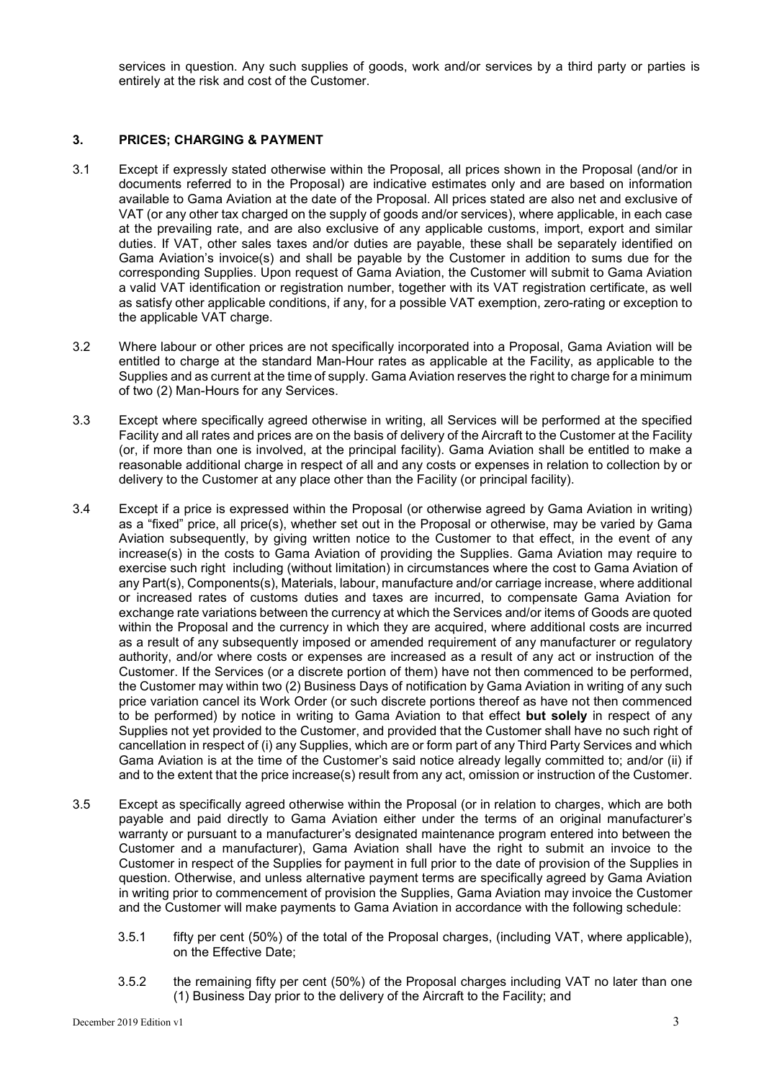services in question. Any such supplies of goods, work and/or services by a third party or parties is entirely at the risk and cost of the Customer.

## **3. PRICES; CHARGING & PAYMENT**

- 3.1 Except if expressly stated otherwise within the Proposal, all prices shown in the Proposal (and/or in documents referred to in the Proposal) are indicative estimates only and are based on information available to Gama Aviation at the date of the Proposal. All prices stated are also net and exclusive of VAT (or any other tax charged on the supply of goods and/or services), where applicable, in each case at the prevailing rate, and are also exclusive of any applicable customs, import, export and similar duties. If VAT, other sales taxes and/or duties are payable, these shall be separately identified on Gama Aviation's invoice(s) and shall be payable by the Customer in addition to sums due for the corresponding Supplies. Upon request of Gama Aviation, the Customer will submit to Gama Aviation a valid VAT identification or registration number, together with its VAT registration certificate, as well as satisfy other applicable conditions, if any, for a possible VAT exemption, zero-rating or exception to the applicable VAT charge.
- 3.2 Where labour or other prices are not specifically incorporated into a Proposal, Gama Aviation will be entitled to charge at the standard Man-Hour rates as applicable at the Facility, as applicable to the Supplies and as current at the time of supply. Gama Aviation reserves the right to charge for a minimum of two (2) Man-Hours for any Services.
- 3.3 Except where specifically agreed otherwise in writing, all Services will be performed at the specified Facility and all rates and prices are on the basis of delivery of the Aircraft to the Customer at the Facility (or, if more than one is involved, at the principal facility). Gama Aviation shall be entitled to make a reasonable additional charge in respect of all and any costs or expenses in relation to collection by or delivery to the Customer at any place other than the Facility (or principal facility).
- 3.4 Except if a price is expressed within the Proposal (or otherwise agreed by Gama Aviation in writing) as a "fixed" price, all price(s), whether set out in the Proposal or otherwise, may be varied by Gama Aviation subsequently, by giving written notice to the Customer to that effect, in the event of any increase(s) in the costs to Gama Aviation of providing the Supplies. Gama Aviation may require to exercise such right including (without limitation) in circumstances where the cost to Gama Aviation of any Part(s), Components(s), Materials, labour, manufacture and/or carriage increase, where additional or increased rates of customs duties and taxes are incurred, to compensate Gama Aviation for exchange rate variations between the currency at which the Services and/or items of Goods are quoted within the Proposal and the currency in which they are acquired, where additional costs are incurred as a result of any subsequently imposed or amended requirement of any manufacturer or regulatory authority, and/or where costs or expenses are increased as a result of any act or instruction of the Customer. If the Services (or a discrete portion of them) have not then commenced to be performed, the Customer may within two (2) Business Days of notification by Gama Aviation in writing of any such price variation cancel its Work Order (or such discrete portions thereof as have not then commenced to be performed) by notice in writing to Gama Aviation to that effect **but solely** in respect of any Supplies not yet provided to the Customer, and provided that the Customer shall have no such right of cancellation in respect of (i) any Supplies, which are or form part of any Third Party Services and which Gama Aviation is at the time of the Customer's said notice already legally committed to; and/or (ii) if and to the extent that the price increase(s) result from any act, omission or instruction of the Customer.
- 3.5 Except as specifically agreed otherwise within the Proposal (or in relation to charges, which are both payable and paid directly to Gama Aviation either under the terms of an original manufacturer's warranty or pursuant to a manufacturer's designated maintenance program entered into between the Customer and a manufacturer), Gama Aviation shall have the right to submit an invoice to the Customer in respect of the Supplies for payment in full prior to the date of provision of the Supplies in question. Otherwise, and unless alternative payment terms are specifically agreed by Gama Aviation in writing prior to commencement of provision the Supplies, Gama Aviation may invoice the Customer and the Customer will make payments to Gama Aviation in accordance with the following schedule:
	- 3.5.1 fifty per cent (50%) of the total of the Proposal charges, (including VAT, where applicable), on the Effective Date;
	- 3.5.2 the remaining fifty per cent (50%) of the Proposal charges including VAT no later than one (1) Business Day prior to the delivery of the Aircraft to the Facility; and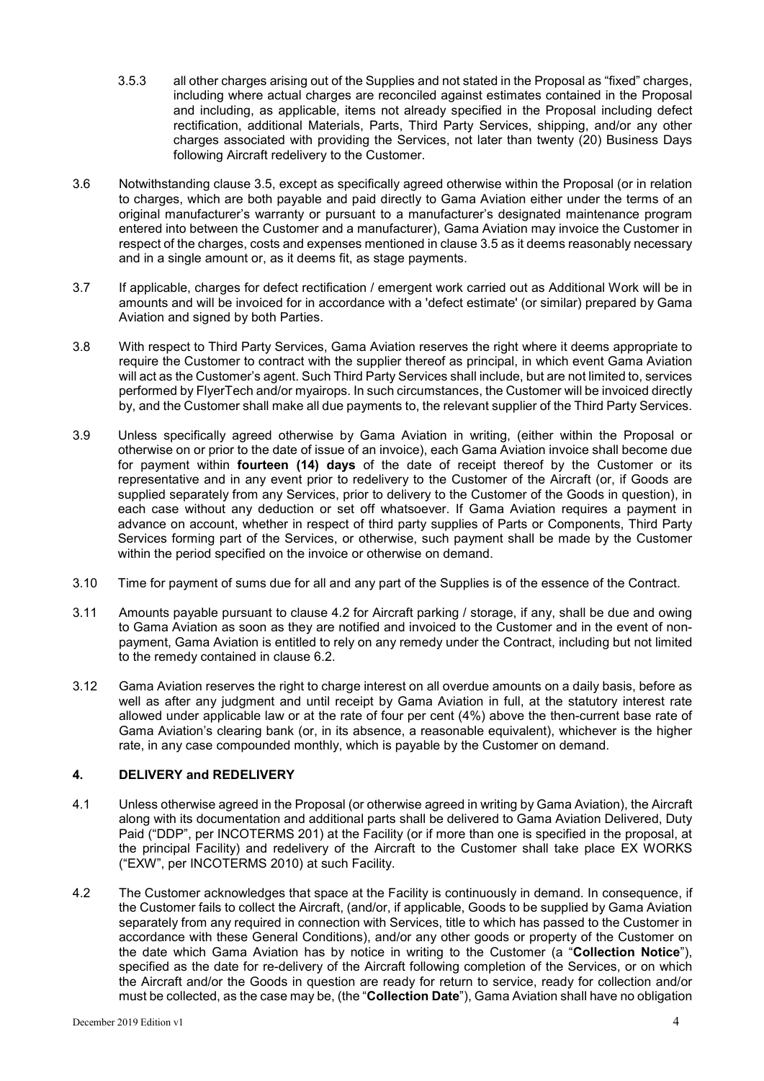- 3.5.3 all other charges arising out of the Supplies and not stated in the Proposal as "fixed" charges, including where actual charges are reconciled against estimates contained in the Proposal and including, as applicable, items not already specified in the Proposal including defect rectification, additional Materials, Parts, Third Party Services, shipping, and/or any other charges associated with providing the Services, not later than twenty (20) Business Days following Aircraft redelivery to the Customer.
- 3.6 Notwithstanding clause 3.5, except as specifically agreed otherwise within the Proposal (or in relation to charges, which are both payable and paid directly to Gama Aviation either under the terms of an original manufacturer's warranty or pursuant to a manufacturer's designated maintenance program entered into between the Customer and a manufacturer), Gama Aviation may invoice the Customer in respect of the charges, costs and expenses mentioned in clause 3.5 as it deems reasonably necessary and in a single amount or, as it deems fit, as stage payments.
- 3.7 If applicable, charges for defect rectification / emergent work carried out as Additional Work will be in amounts and will be invoiced for in accordance with a 'defect estimate' (or similar) prepared by Gama Aviation and signed by both Parties.
- 3.8 With respect to Third Party Services, Gama Aviation reserves the right where it deems appropriate to require the Customer to contract with the supplier thereof as principal, in which event Gama Aviation will act as the Customer's agent. Such Third Party Services shall include, but are not limited to, services performed by FlyerTech and/or myairops. In such circumstances, the Customer will be invoiced directly by, and the Customer shall make all due payments to, the relevant supplier of the Third Party Services.
- 3.9 Unless specifically agreed otherwise by Gama Aviation in writing, (either within the Proposal or otherwise on or prior to the date of issue of an invoice), each Gama Aviation invoice shall become due for payment within **fourteen (14) days** of the date of receipt thereof by the Customer or its representative and in any event prior to redelivery to the Customer of the Aircraft (or, if Goods are supplied separately from any Services, prior to delivery to the Customer of the Goods in question), in each case without any deduction or set off whatsoever. If Gama Aviation requires a payment in advance on account, whether in respect of third party supplies of Parts or Components, Third Party Services forming part of the Services, or otherwise, such payment shall be made by the Customer within the period specified on the invoice or otherwise on demand.
- 3.10 Time for payment of sums due for all and any part of the Supplies is of the essence of the Contract.
- 3.11 Amounts payable pursuant to clause 4.2 for Aircraft parking / storage, if any, shall be due and owing to Gama Aviation as soon as they are notified and invoiced to the Customer and in the event of nonpayment, Gama Aviation is entitled to rely on any remedy under the Contract, including but not limited to the remedy contained in clause 6.2.
- 3.12 Gama Aviation reserves the right to charge interest on all overdue amounts on a daily basis, before as well as after any judgment and until receipt by Gama Aviation in full, at the statutory interest rate allowed under applicable law or at the rate of four per cent (4%) above the then-current base rate of Gama Aviation's clearing bank (or, in its absence, a reasonable equivalent), whichever is the higher rate, in any case compounded monthly, which is payable by the Customer on demand.

# **4. DELIVERY and REDELIVERY**

- 4.1 Unless otherwise agreed in the Proposal (or otherwise agreed in writing by Gama Aviation), the Aircraft along with its documentation and additional parts shall be delivered to Gama Aviation Delivered, Duty Paid ("DDP", per INCOTERMS 201) at the Facility (or if more than one is specified in the proposal, at the principal Facility) and redelivery of the Aircraft to the Customer shall take place EX WORKS ("EXW", per INCOTERMS 2010) at such Facility.
- 4.2 The Customer acknowledges that space at the Facility is continuously in demand. In consequence, if the Customer fails to collect the Aircraft, (and/or, if applicable, Goods to be supplied by Gama Aviation separately from any required in connection with Services, title to which has passed to the Customer in accordance with these General Conditions), and/or any other goods or property of the Customer on the date which Gama Aviation has by notice in writing to the Customer (a "**Collection Notice**"), specified as the date for re-delivery of the Aircraft following completion of the Services, or on which the Aircraft and/or the Goods in question are ready for return to service, ready for collection and/or must be collected, as the case may be, (the "**Collection Date**"), Gama Aviation shall have no obligation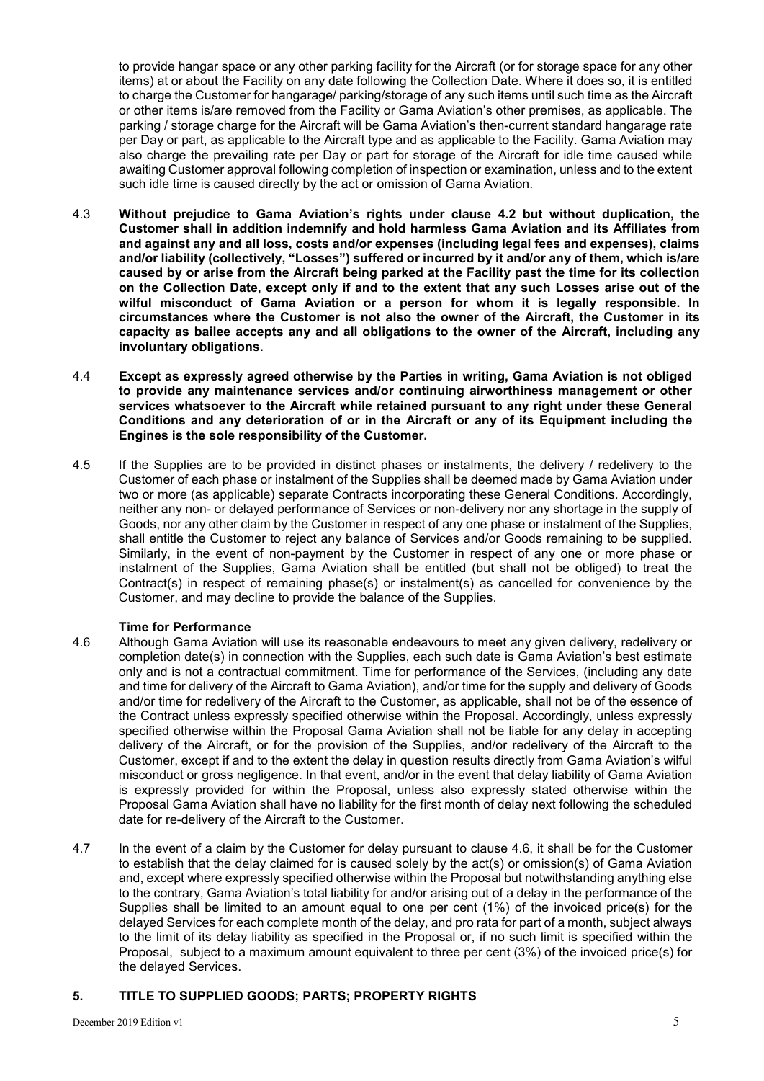to provide hangar space or any other parking facility for the Aircraft (or for storage space for any other items) at or about the Facility on any date following the Collection Date. Where it does so, it is entitled to charge the Customer for hangarage/ parking/storage of any such items until such time as the Aircraft or other items is/are removed from the Facility or Gama Aviation's other premises, as applicable. The parking / storage charge for the Aircraft will be Gama Aviation's then-current standard hangarage rate per Day or part, as applicable to the Aircraft type and as applicable to the Facility. Gama Aviation may also charge the prevailing rate per Day or part for storage of the Aircraft for idle time caused while awaiting Customer approval following completion of inspection or examination, unless and to the extent such idle time is caused directly by the act or omission of Gama Aviation.

- 4.3 **Without prejudice to Gama Aviation's rights under clause 4.2 but without duplication, the Customer shall in addition indemnify and hold harmless Gama Aviation and its Affiliates from and against any and all loss, costs and/or expenses (including legal fees and expenses), claims and/or liability (collectively, "Losses") suffered or incurred by it and/or any of them, which is/are caused by or arise from the Aircraft being parked at the Facility past the time for its collection on the Collection Date, except only if and to the extent that any such Losses arise out of the wilful misconduct of Gama Aviation or a person for whom it is legally responsible. In circumstances where the Customer is not also the owner of the Aircraft, the Customer in its capacity as bailee accepts any and all obligations to the owner of the Aircraft, including any involuntary obligations.**
- 4.4 **Except as expressly agreed otherwise by the Parties in writing, Gama Aviation is not obliged to provide any maintenance services and/or continuing airworthiness management or other services whatsoever to the Aircraft while retained pursuant to any right under these General Conditions and any deterioration of or in the Aircraft or any of its Equipment including the Engines is the sole responsibility of the Customer.**
- 4.5 If the Supplies are to be provided in distinct phases or instalments, the delivery / redelivery to the Customer of each phase or instalment of the Supplies shall be deemed made by Gama Aviation under two or more (as applicable) separate Contracts incorporating these General Conditions. Accordingly, neither any non- or delayed performance of Services or non-delivery nor any shortage in the supply of Goods, nor any other claim by the Customer in respect of any one phase or instalment of the Supplies, shall entitle the Customer to reject any balance of Services and/or Goods remaining to be supplied. Similarly, in the event of non-payment by the Customer in respect of any one or more phase or instalment of the Supplies, Gama Aviation shall be entitled (but shall not be obliged) to treat the Contract(s) in respect of remaining phase(s) or instalment(s) as cancelled for convenience by the Customer, and may decline to provide the balance of the Supplies.

# **Time for Performance**

- 4.6 Although Gama Aviation will use its reasonable endeavours to meet any given delivery, redelivery or completion date(s) in connection with the Supplies, each such date is Gama Aviation's best estimate only and is not a contractual commitment. Time for performance of the Services, (including any date and time for delivery of the Aircraft to Gama Aviation), and/or time for the supply and delivery of Goods and/or time for redelivery of the Aircraft to the Customer, as applicable, shall not be of the essence of the Contract unless expressly specified otherwise within the Proposal. Accordingly, unless expressly specified otherwise within the Proposal Gama Aviation shall not be liable for any delay in accepting delivery of the Aircraft, or for the provision of the Supplies, and/or redelivery of the Aircraft to the Customer, except if and to the extent the delay in question results directly from Gama Aviation's wilful misconduct or gross negligence. In that event, and/or in the event that delay liability of Gama Aviation is expressly provided for within the Proposal, unless also expressly stated otherwise within the Proposal Gama Aviation shall have no liability for the first month of delay next following the scheduled date for re-delivery of the Aircraft to the Customer.
- 4.7 In the event of a claim by the Customer for delay pursuant to clause 4.6, it shall be for the Customer to establish that the delay claimed for is caused solely by the act(s) or omission(s) of Gama Aviation and, except where expressly specified otherwise within the Proposal but notwithstanding anything else to the contrary, Gama Aviation's total liability for and/or arising out of a delay in the performance of the Supplies shall be limited to an amount equal to one per cent (1%) of the invoiced price(s) for the delayed Services for each complete month of the delay, and pro rata for part of a month, subject always to the limit of its delay liability as specified in the Proposal or, if no such limit is specified within the Proposal, subject to a maximum amount equivalent to three per cent (3%) of the invoiced price(s) for the delayed Services.

#### **5. TITLE TO SUPPLIED GOODS; PARTS; PROPERTY RIGHTS**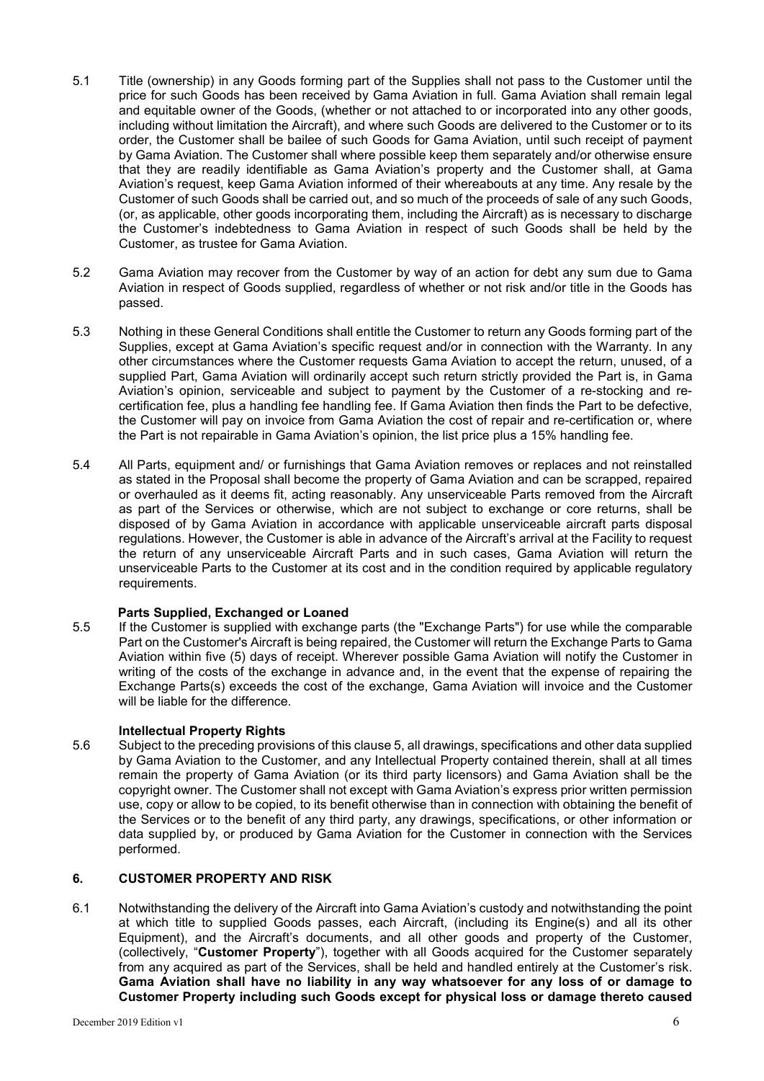- 5.1 Title (ownership) in any Goods forming part of the Supplies shall not pass to the Customer until the price for such Goods has been received by Gama Aviation in full. Gama Aviation shall remain legal and equitable owner of the Goods, (whether or not attached to or incorporated into any other goods, including without limitation the Aircraft), and where such Goods are delivered to the Customer or to its order, the Customer shall be bailee of such Goods for Gama Aviation, until such receipt of payment by Gama Aviation. The Customer shall where possible keep them separately and/or otherwise ensure that they are readily identifiable as Gama Aviation's property and the Customer shall, at Gama Aviation's request, keep Gama Aviation informed of their whereabouts at any time. Any resale by the Customer of such Goods shall be carried out, and so much of the proceeds of sale of any such Goods, (or, as applicable, other goods incorporating them, including the Aircraft) as is necessary to discharge the Customer's indebtedness to Gama Aviation in respect of such Goods shall be held by the Customer, as trustee for Gama Aviation.
- 5.2 Gama Aviation may recover from the Customer by way of an action for debt any sum due to Gama Aviation in respect of Goods supplied, regardless of whether or not risk and/or title in the Goods has passed.
- 5.3 Nothing in these General Conditions shall entitle the Customer to return any Goods forming part of the Supplies, except at Gama Aviation's specific request and/or in connection with the Warranty. In any other circumstances where the Customer requests Gama Aviation to accept the return, unused, of a supplied Part, Gama Aviation will ordinarily accept such return strictly provided the Part is, in Gama Aviation's opinion, serviceable and subject to payment by the Customer of a re-stocking and recertification fee, plus a handling fee handling fee. If Gama Aviation then finds the Part to be defective, the Customer will pay on invoice from Gama Aviation the cost of repair and re-certification or, where the Part is not repairable in Gama Aviation's opinion, the list price plus a 15% handling fee.
- 5.4 All Parts, equipment and/ or furnishings that Gama Aviation removes or replaces and not reinstalled as stated in the Proposal shall become the property of Gama Aviation and can be scrapped, repaired or overhauled as it deems fit, acting reasonably. Any unserviceable Parts removed from the Aircraft as part of the Services or otherwise, which are not subject to exchange or core returns, shall be disposed of by Gama Aviation in accordance with applicable unserviceable aircraft parts disposal regulations. However, the Customer is able in advance of the Aircraft's arrival at the Facility to request the return of any unserviceable Aircraft Parts and in such cases, Gama Aviation will return the unserviceable Parts to the Customer at its cost and in the condition required by applicable regulatory requirements.

# **Parts Supplied, Exchanged or Loaned**

5.5 If the Customer is supplied with exchange parts (the "Exchange Parts") for use while the comparable Part on the Customer's Aircraft is being repaired, the Customer will return the Exchange Parts to Gama Aviation within five (5) days of receipt. Wherever possible Gama Aviation will notify the Customer in writing of the costs of the exchange in advance and, in the event that the expense of repairing the Exchange Parts(s) exceeds the cost of the exchange, Gama Aviation will invoice and the Customer will be liable for the difference.

# **Intellectual Property Rights**

5.6 Subject to the preceding provisions of this clause 5, all drawings, specifications and other data supplied by Gama Aviation to the Customer, and any Intellectual Property contained therein, shall at all times remain the property of Gama Aviation (or its third party licensors) and Gama Aviation shall be the copyright owner. The Customer shall not except with Gama Aviation's express prior written permission use, copy or allow to be copied, to its benefit otherwise than in connection with obtaining the benefit of the Services or to the benefit of any third party, any drawings, specifications, or other information or data supplied by, or produced by Gama Aviation for the Customer in connection with the Services performed.

# **6. CUSTOMER PROPERTY AND RISK**

6.1 Notwithstanding the delivery of the Aircraft into Gama Aviation's custody and notwithstanding the point at which title to supplied Goods passes, each Aircraft, (including its Engine(s) and all its other Equipment), and the Aircraft's documents, and all other goods and property of the Customer, (collectively, "**Customer Property**"), together with all Goods acquired for the Customer separately from any acquired as part of the Services, shall be held and handled entirely at the Customer's risk. **Gama Aviation shall have no liability in any way whatsoever for any loss of or damage to Customer Property including such Goods except for physical loss or damage thereto caused**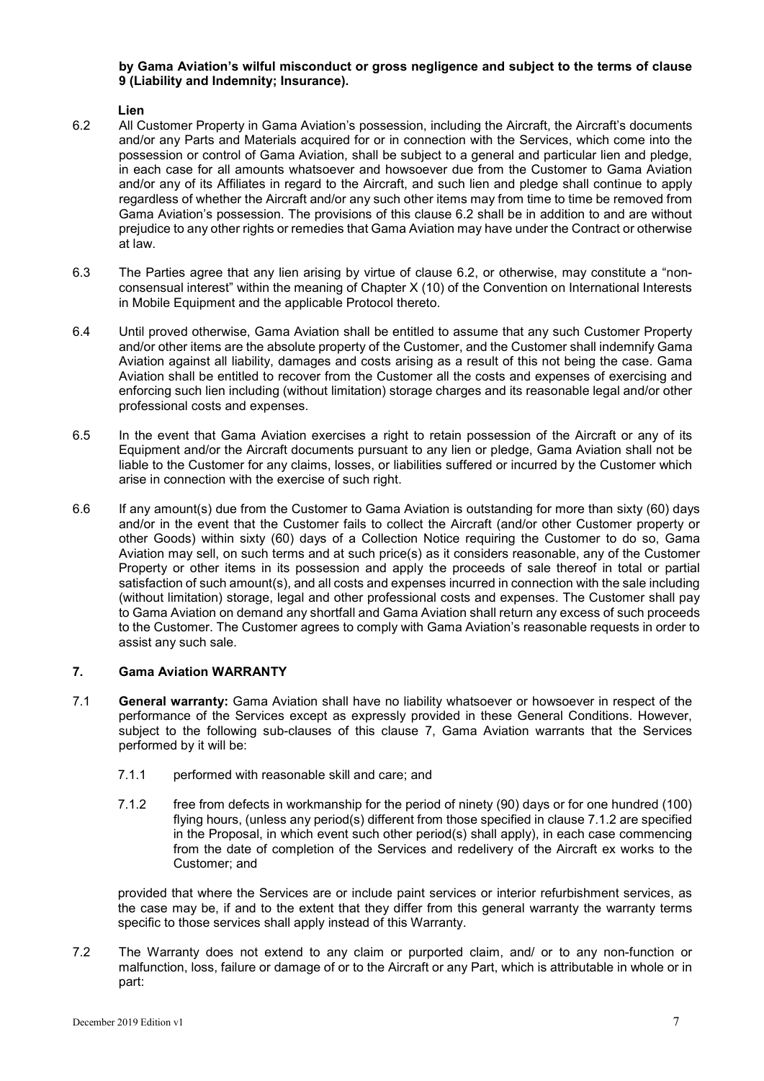## **by Gama Aviation's wilful misconduct or gross negligence and subject to the terms of clause 9 (Liability and Indemnity; Insurance).**

#### **Lien**

- 6.2 All Customer Property in Gama Aviation's possession, including the Aircraft, the Aircraft's documents and/or any Parts and Materials acquired for or in connection with the Services, which come into the possession or control of Gama Aviation, shall be subject to a general and particular lien and pledge, in each case for all amounts whatsoever and howsoever due from the Customer to Gama Aviation and/or any of its Affiliates in regard to the Aircraft, and such lien and pledge shall continue to apply regardless of whether the Aircraft and/or any such other items may from time to time be removed from Gama Aviation's possession. The provisions of this clause 6.2 shall be in addition to and are without prejudice to any other rights or remedies that Gama Aviation may have under the Contract or otherwise at law.
- 6.3 The Parties agree that any lien arising by virtue of clause 6.2, or otherwise, may constitute a "nonconsensual interest" within the meaning of Chapter X (10) of the Convention on International Interests in Mobile Equipment and the applicable Protocol thereto.
- 6.4 Until proved otherwise, Gama Aviation shall be entitled to assume that any such Customer Property and/or other items are the absolute property of the Customer, and the Customer shall indemnify Gama Aviation against all liability, damages and costs arising as a result of this not being the case. Gama Aviation shall be entitled to recover from the Customer all the costs and expenses of exercising and enforcing such lien including (without limitation) storage charges and its reasonable legal and/or other professional costs and expenses.
- 6.5 In the event that Gama Aviation exercises a right to retain possession of the Aircraft or any of its Equipment and/or the Aircraft documents pursuant to any lien or pledge, Gama Aviation shall not be liable to the Customer for any claims, losses, or liabilities suffered or incurred by the Customer which arise in connection with the exercise of such right.
- 6.6 If any amount(s) due from the Customer to Gama Aviation is outstanding for more than sixty (60) days and/or in the event that the Customer fails to collect the Aircraft (and/or other Customer property or other Goods) within sixty (60) days of a Collection Notice requiring the Customer to do so, Gama Aviation may sell, on such terms and at such price(s) as it considers reasonable, any of the Customer Property or other items in its possession and apply the proceeds of sale thereof in total or partial satisfaction of such amount(s), and all costs and expenses incurred in connection with the sale including (without limitation) storage, legal and other professional costs and expenses. The Customer shall pay to Gama Aviation on demand any shortfall and Gama Aviation shall return any excess of such proceeds to the Customer. The Customer agrees to comply with Gama Aviation's reasonable requests in order to assist any such sale.

# **7. Gama Aviation WARRANTY**

- 7.1 **General warranty:** Gama Aviation shall have no liability whatsoever or howsoever in respect of the performance of the Services except as expressly provided in these General Conditions. However, subject to the following sub-clauses of this clause 7, Gama Aviation warrants that the Services performed by it will be:
	- 7.1.1 performed with reasonable skill and care; and
	- 7.1.2 free from defects in workmanship for the period of ninety (90) days or for one hundred (100) flying hours, (unless any period(s) different from those specified in clause 7.1.2 are specified in the Proposal, in which event such other period(s) shall apply), in each case commencing from the date of completion of the Services and redelivery of the Aircraft ex works to the Customer; and

provided that where the Services are or include paint services or interior refurbishment services, as the case may be, if and to the extent that they differ from this general warranty the warranty terms specific to those services shall apply instead of this Warranty.

7.2 The Warranty does not extend to any claim or purported claim, and/ or to any non-function or malfunction, loss, failure or damage of or to the Aircraft or any Part, which is attributable in whole or in part: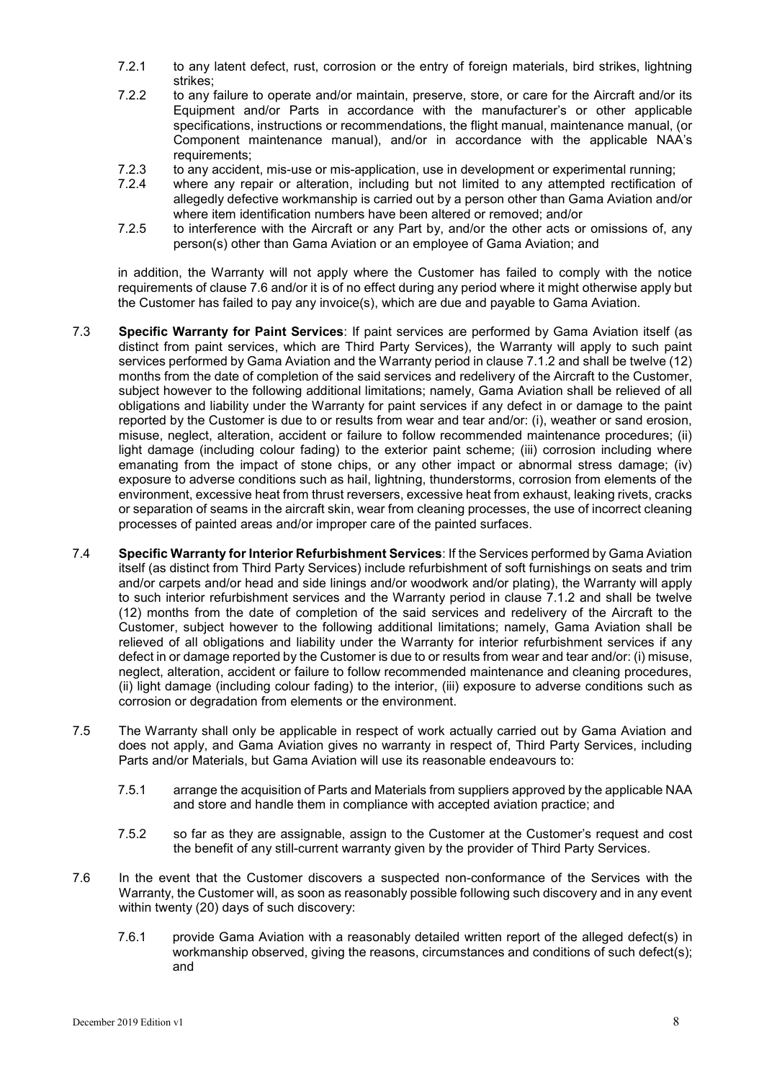- 7.2.1 to any latent defect, rust, corrosion or the entry of foreign materials, bird strikes, lightning strikes;
- 7.2.2 to any failure to operate and/or maintain, preserve, store, or care for the Aircraft and/or its Equipment and/or Parts in accordance with the manufacturer's or other applicable specifications, instructions or recommendations, the flight manual, maintenance manual, (or Component maintenance manual), and/or in accordance with the applicable NAA's requirements;
- 7.2.3 to any accident, mis-use or mis-application, use in development or experimental running;<br>7.2.4 where any repair or alteration, including but not limited to any attempted rectification
- where any repair or alteration, including but not limited to any attempted rectification of allegedly defective workmanship is carried out by a person other than Gama Aviation and/or where item identification numbers have been altered or removed; and/or
- 7.2.5 to interference with the Aircraft or any Part by, and/or the other acts or omissions of, any person(s) other than Gama Aviation or an employee of Gama Aviation; and

in addition, the Warranty will not apply where the Customer has failed to comply with the notice requirements of clause 7.6 and/or it is of no effect during any period where it might otherwise apply but the Customer has failed to pay any invoice(s), which are due and payable to Gama Aviation.

- 7.3 **Specific Warranty for Paint Services**: If paint services are performed by Gama Aviation itself (as distinct from paint services, which are Third Party Services), the Warranty will apply to such paint services performed by Gama Aviation and the Warranty period in clause 7.1.2 and shall be twelve (12) months from the date of completion of the said services and redelivery of the Aircraft to the Customer, subject however to the following additional limitations; namely, Gama Aviation shall be relieved of all obligations and liability under the Warranty for paint services if any defect in or damage to the paint reported by the Customer is due to or results from wear and tear and/or: (i), weather or sand erosion, misuse, neglect, alteration, accident or failure to follow recommended maintenance procedures; (ii) light damage (including colour fading) to the exterior paint scheme; (iii) corrosion including where emanating from the impact of stone chips, or any other impact or abnormal stress damage; (iv) exposure to adverse conditions such as hail, lightning, thunderstorms, corrosion from elements of the environment, excessive heat from thrust reversers, excessive heat from exhaust, leaking rivets, cracks or separation of seams in the aircraft skin, wear from cleaning processes, the use of incorrect cleaning processes of painted areas and/or improper care of the painted surfaces.
- 7.4 **Specific Warranty for Interior Refurbishment Services**: If the Services performed by Gama Aviation itself (as distinct from Third Party Services) include refurbishment of soft furnishings on seats and trim and/or carpets and/or head and side linings and/or woodwork and/or plating), the Warranty will apply to such interior refurbishment services and the Warranty period in clause 7.1.2 and shall be twelve (12) months from the date of completion of the said services and redelivery of the Aircraft to the Customer, subject however to the following additional limitations; namely, Gama Aviation shall be relieved of all obligations and liability under the Warranty for interior refurbishment services if any defect in or damage reported by the Customer is due to or results from wear and tear and/or: (i) misuse, neglect, alteration, accident or failure to follow recommended maintenance and cleaning procedures, (ii) light damage (including colour fading) to the interior, (iii) exposure to adverse conditions such as corrosion or degradation from elements or the environment.
- 7.5 The Warranty shall only be applicable in respect of work actually carried out by Gama Aviation and does not apply, and Gama Aviation gives no warranty in respect of, Third Party Services, including Parts and/or Materials, but Gama Aviation will use its reasonable endeavours to:
	- 7.5.1 arrange the acquisition of Parts and Materials from suppliers approved by the applicable NAA and store and handle them in compliance with accepted aviation practice; and
	- 7.5.2 so far as they are assignable, assign to the Customer at the Customer's request and cost the benefit of any still-current warranty given by the provider of Third Party Services.
- 7.6 In the event that the Customer discovers a suspected non-conformance of the Services with the Warranty, the Customer will, as soon as reasonably possible following such discovery and in any event within twenty (20) days of such discovery:
	- 7.6.1 provide Gama Aviation with a reasonably detailed written report of the alleged defect(s) in workmanship observed, giving the reasons, circumstances and conditions of such defect(s); and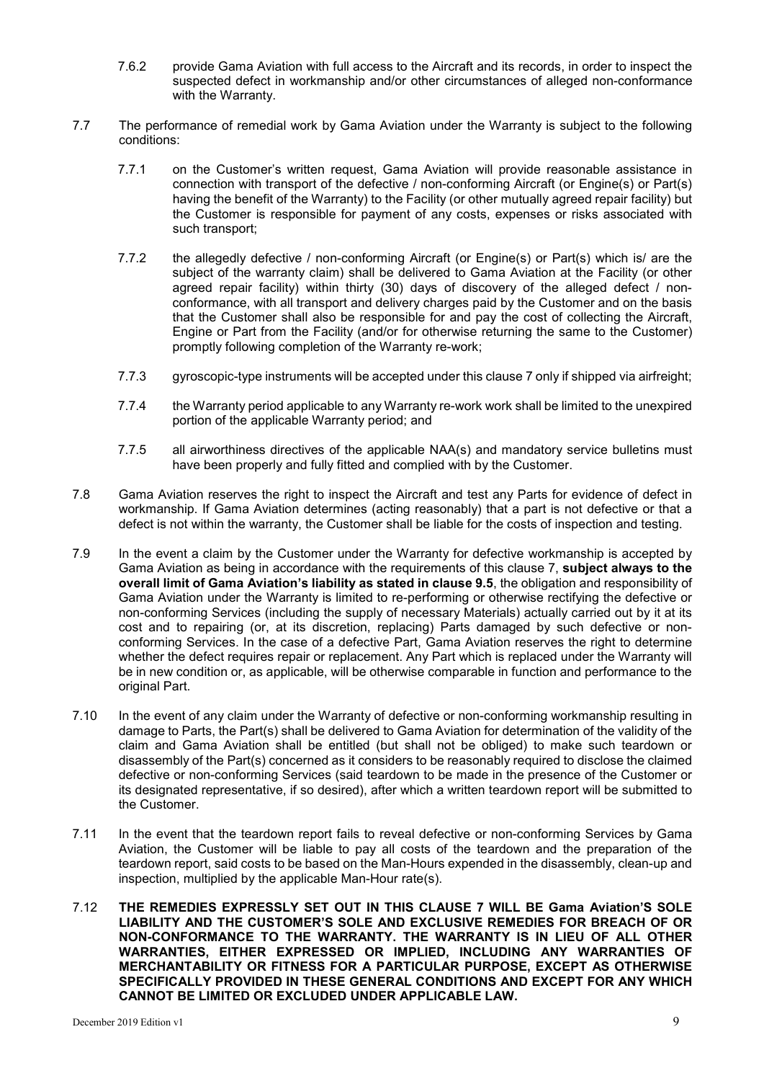- 7.6.2 provide Gama Aviation with full access to the Aircraft and its records, in order to inspect the suspected defect in workmanship and/or other circumstances of alleged non-conformance with the Warranty.
- 7.7 The performance of remedial work by Gama Aviation under the Warranty is subject to the following conditions:
	- 7.7.1 on the Customer's written request, Gama Aviation will provide reasonable assistance in connection with transport of the defective / non-conforming Aircraft (or Engine(s) or Part(s) having the benefit of the Warranty) to the Facility (or other mutually agreed repair facility) but the Customer is responsible for payment of any costs, expenses or risks associated with such transport;
	- 7.7.2 the allegedly defective / non-conforming Aircraft (or Engine(s) or Part(s) which is/ are the subject of the warranty claim) shall be delivered to Gama Aviation at the Facility (or other agreed repair facility) within thirty (30) days of discovery of the alleged defect / nonconformance, with all transport and delivery charges paid by the Customer and on the basis that the Customer shall also be responsible for and pay the cost of collecting the Aircraft, Engine or Part from the Facility (and/or for otherwise returning the same to the Customer) promptly following completion of the Warranty re-work;
	- 7.7.3 gyroscopic-type instruments will be accepted under this clause 7 only if shipped via airfreight;
	- 7.7.4 the Warranty period applicable to any Warranty re-work work shall be limited to the unexpired portion of the applicable Warranty period; and
	- 7.7.5 all airworthiness directives of the applicable NAA(s) and mandatory service bulletins must have been properly and fully fitted and complied with by the Customer.
- 7.8 Gama Aviation reserves the right to inspect the Aircraft and test any Parts for evidence of defect in workmanship. If Gama Aviation determines (acting reasonably) that a part is not defective or that a defect is not within the warranty, the Customer shall be liable for the costs of inspection and testing.
- 7.9 In the event a claim by the Customer under the Warranty for defective workmanship is accepted by Gama Aviation as being in accordance with the requirements of this clause 7, **subject always to the overall limit of Gama Aviation's liability as stated in clause 9.5**, the obligation and responsibility of Gama Aviation under the Warranty is limited to re-performing or otherwise rectifying the defective or non-conforming Services (including the supply of necessary Materials) actually carried out by it at its cost and to repairing (or, at its discretion, replacing) Parts damaged by such defective or nonconforming Services. In the case of a defective Part, Gama Aviation reserves the right to determine whether the defect requires repair or replacement. Any Part which is replaced under the Warranty will be in new condition or, as applicable, will be otherwise comparable in function and performance to the original Part.
- 7.10 In the event of any claim under the Warranty of defective or non-conforming workmanship resulting in damage to Parts, the Part(s) shall be delivered to Gama Aviation for determination of the validity of the claim and Gama Aviation shall be entitled (but shall not be obliged) to make such teardown or disassembly of the Part(s) concerned as it considers to be reasonably required to disclose the claimed defective or non-conforming Services (said teardown to be made in the presence of the Customer or its designated representative, if so desired), after which a written teardown report will be submitted to the Customer.
- 7.11 In the event that the teardown report fails to reveal defective or non-conforming Services by Gama Aviation, the Customer will be liable to pay all costs of the teardown and the preparation of the teardown report, said costs to be based on the Man-Hours expended in the disassembly, clean-up and inspection, multiplied by the applicable Man-Hour rate(s).
- 7.12 **THE REMEDIES EXPRESSLY SET OUT IN THIS CLAUSE 7 WILL BE Gama Aviation'S SOLE LIABILITY AND THE CUSTOMER'S SOLE AND EXCLUSIVE REMEDIES FOR BREACH OF OR NON-CONFORMANCE TO THE WARRANTY. THE WARRANTY IS IN LIEU OF ALL OTHER WARRANTIES, EITHER EXPRESSED OR IMPLIED, INCLUDING ANY WARRANTIES OF MERCHANTABILITY OR FITNESS FOR A PARTICULAR PURPOSE, EXCEPT AS OTHERWISE SPECIFICALLY PROVIDED IN THESE GENERAL CONDITIONS AND EXCEPT FOR ANY WHICH CANNOT BE LIMITED OR EXCLUDED UNDER APPLICABLE LAW.**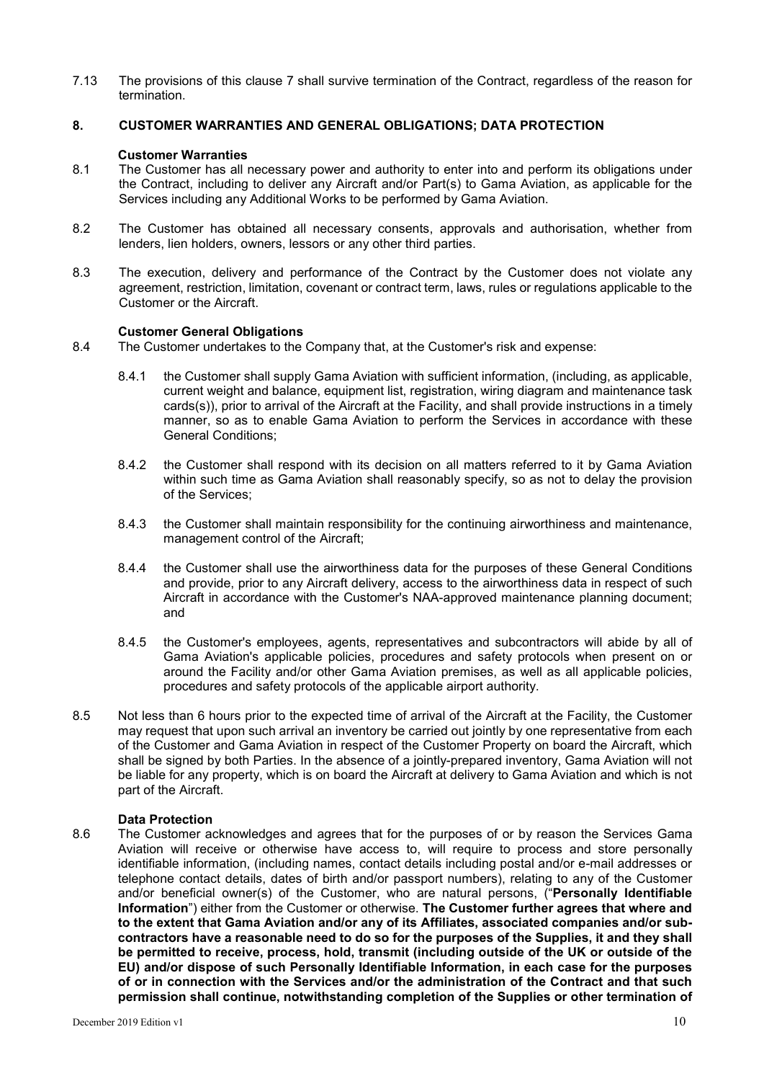7.13 The provisions of this clause 7 shall survive termination of the Contract, regardless of the reason for termination.

#### **8. CUSTOMER WARRANTIES AND GENERAL OBLIGATIONS; DATA PROTECTION**

#### **Customer Warranties**

- 8.1 The Customer has all necessary power and authority to enter into and perform its obligations under the Contract, including to deliver any Aircraft and/or Part(s) to Gama Aviation, as applicable for the Services including any Additional Works to be performed by Gama Aviation.
- 8.2 The Customer has obtained all necessary consents, approvals and authorisation, whether from lenders, lien holders, owners, lessors or any other third parties.
- 8.3 The execution, delivery and performance of the Contract by the Customer does not violate any agreement, restriction, limitation, covenant or contract term, laws, rules or regulations applicable to the Customer or the Aircraft.

## **Customer General Obligations**

- 8.4 The Customer undertakes to the Company that, at the Customer's risk and expense:
	- 8.4.1 the Customer shall supply Gama Aviation with sufficient information, (including, as applicable, current weight and balance, equipment list, registration, wiring diagram and maintenance task cards(s)), prior to arrival of the Aircraft at the Facility, and shall provide instructions in a timely manner, so as to enable Gama Aviation to perform the Services in accordance with these General Conditions;
	- 8.4.2 the Customer shall respond with its decision on all matters referred to it by Gama Aviation within such time as Gama Aviation shall reasonably specify, so as not to delay the provision of the Services;
	- 8.4.3 the Customer shall maintain responsibility for the continuing airworthiness and maintenance, management control of the Aircraft;
	- 8.4.4 the Customer shall use the airworthiness data for the purposes of these General Conditions and provide, prior to any Aircraft delivery, access to the airworthiness data in respect of such Aircraft in accordance with the Customer's NAA-approved maintenance planning document; and
	- 8.4.5 the Customer's employees, agents, representatives and subcontractors will abide by all of Gama Aviation's applicable policies, procedures and safety protocols when present on or around the Facility and/or other Gama Aviation premises, as well as all applicable policies, procedures and safety protocols of the applicable airport authority.
- 8.5 Not less than 6 hours prior to the expected time of arrival of the Aircraft at the Facility, the Customer may request that upon such arrival an inventory be carried out jointly by one representative from each of the Customer and Gama Aviation in respect of the Customer Property on board the Aircraft, which shall be signed by both Parties. In the absence of a jointly-prepared inventory, Gama Aviation will not be liable for any property, which is on board the Aircraft at delivery to Gama Aviation and which is not part of the Aircraft.

#### **Data Protection**

8.6 The Customer acknowledges and agrees that for the purposes of or by reason the Services Gama Aviation will receive or otherwise have access to, will require to process and store personally identifiable information, (including names, contact details including postal and/or e-mail addresses or telephone contact details, dates of birth and/or passport numbers), relating to any of the Customer and/or beneficial owner(s) of the Customer, who are natural persons, ("**Personally Identifiable Information**") either from the Customer or otherwise. **The Customer further agrees that where and to the extent that Gama Aviation and/or any of its Affiliates, associated companies and/or subcontractors have a reasonable need to do so for the purposes of the Supplies, it and they shall be permitted to receive, process, hold, transmit (including outside of the UK or outside of the EU) and/or dispose of such Personally Identifiable Information, in each case for the purposes of or in connection with the Services and/or the administration of the Contract and that such permission shall continue, notwithstanding completion of the Supplies or other termination of**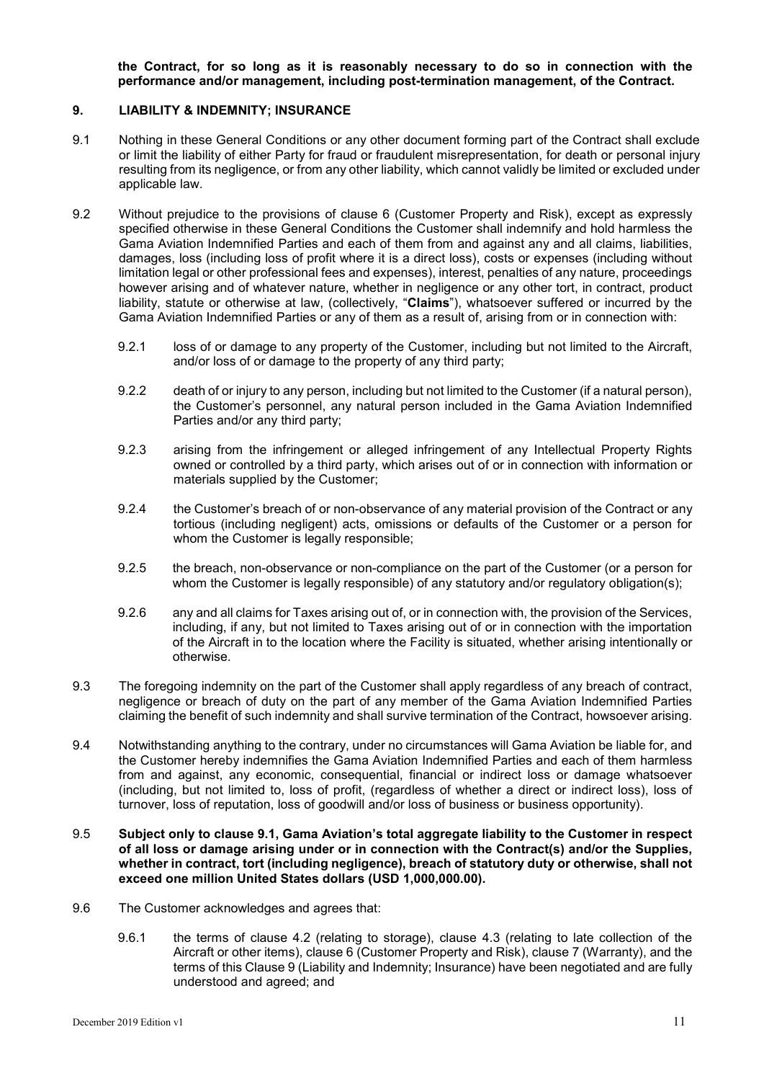**the Contract, for so long as it is reasonably necessary to do so in connection with the performance and/or management, including post-termination management, of the Contract.**

## **9. LIABILITY & INDEMNITY; INSURANCE**

- 9.1 Nothing in these General Conditions or any other document forming part of the Contract shall exclude or limit the liability of either Party for fraud or fraudulent misrepresentation, for death or personal injury resulting from its negligence, or from any other liability, which cannot validly be limited or excluded under applicable law.
- 9.2 Without prejudice to the provisions of clause 6 (Customer Property and Risk), except as expressly specified otherwise in these General Conditions the Customer shall indemnify and hold harmless the Gama Aviation Indemnified Parties and each of them from and against any and all claims, liabilities, damages, loss (including loss of profit where it is a direct loss), costs or expenses (including without limitation legal or other professional fees and expenses), interest, penalties of any nature, proceedings however arising and of whatever nature, whether in negligence or any other tort, in contract, product liability, statute or otherwise at law, (collectively, "**Claims**"), whatsoever suffered or incurred by the Gama Aviation Indemnified Parties or any of them as a result of, arising from or in connection with:
	- 9.2.1 loss of or damage to any property of the Customer, including but not limited to the Aircraft, and/or loss of or damage to the property of any third party;
	- 9.2.2 death of or injury to any person, including but not limited to the Customer (if a natural person), the Customer's personnel, any natural person included in the Gama Aviation Indemnified Parties and/or any third party;
	- 9.2.3 arising from the infringement or alleged infringement of any Intellectual Property Rights owned or controlled by a third party, which arises out of or in connection with information or materials supplied by the Customer;
	- 9.2.4 the Customer's breach of or non-observance of any material provision of the Contract or any tortious (including negligent) acts, omissions or defaults of the Customer or a person for whom the Customer is legally responsible;
	- 9.2.5 the breach, non-observance or non-compliance on the part of the Customer (or a person for whom the Customer is legally responsible) of any statutory and/or regulatory obligation(s);
	- 9.2.6 any and all claims for Taxes arising out of, or in connection with, the provision of the Services, including, if any, but not limited to Taxes arising out of or in connection with the importation of the Aircraft in to the location where the Facility is situated, whether arising intentionally or otherwise.
- 9.3 The foregoing indemnity on the part of the Customer shall apply regardless of any breach of contract, negligence or breach of duty on the part of any member of the Gama Aviation Indemnified Parties claiming the benefit of such indemnity and shall survive termination of the Contract, howsoever arising.
- 9.4 Notwithstanding anything to the contrary, under no circumstances will Gama Aviation be liable for, and the Customer hereby indemnifies the Gama Aviation Indemnified Parties and each of them harmless from and against, any economic, consequential, financial or indirect loss or damage whatsoever (including, but not limited to, loss of profit, (regardless of whether a direct or indirect loss), loss of turnover, loss of reputation, loss of goodwill and/or loss of business or business opportunity).
- 9.5 **Subject only to clause 9.1, Gama Aviation's total aggregate liability to the Customer in respect of all loss or damage arising under or in connection with the Contract(s) and/or the Supplies, whether in contract, tort (including negligence), breach of statutory duty or otherwise, shall not exceed one million United States dollars (USD 1,000,000.00).**
- 9.6 The Customer acknowledges and agrees that:
	- 9.6.1 the terms of clause 4.2 (relating to storage), clause 4.3 (relating to late collection of the Aircraft or other items), clause 6 (Customer Property and Risk), clause 7 (Warranty), and the terms of this Clause 9 (Liability and Indemnity; Insurance) have been negotiated and are fully understood and agreed; and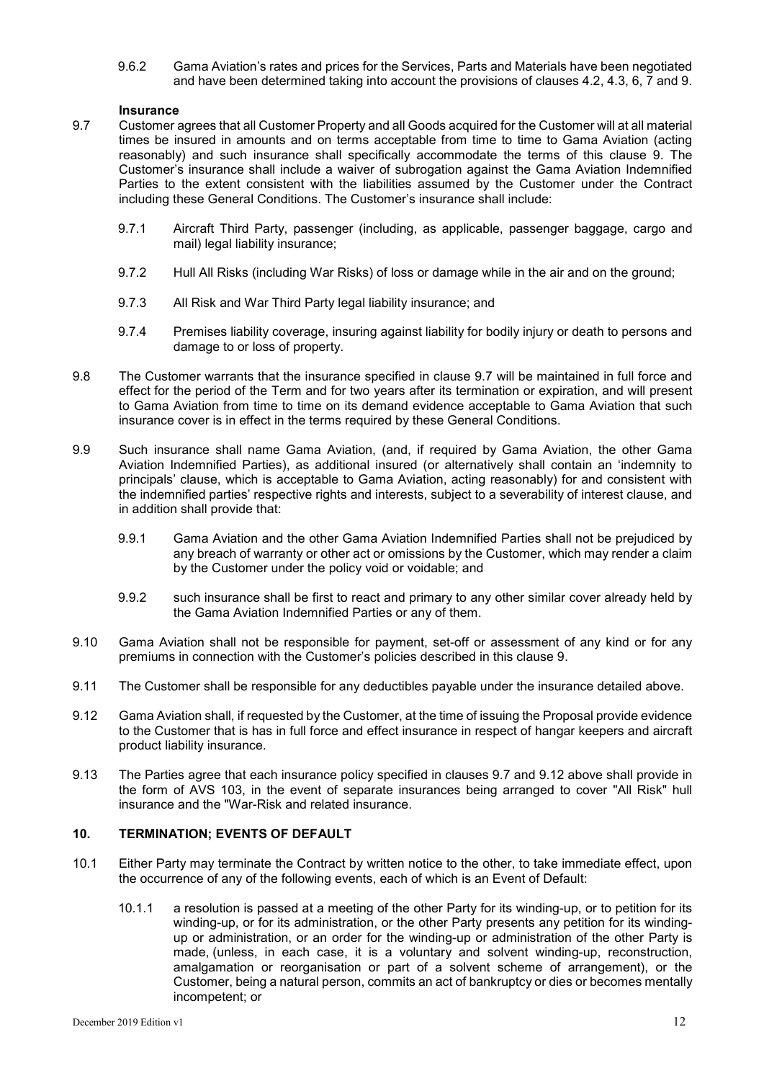9.6.2 Gama Aviation's rates and prices for the Services, Parts and Materials have been negotiated and have been determined taking into account the provisions of clauses 4.2, 4.3, 6, 7 and 9.

#### **Insurance**

- 9.7 Customer agrees that all Customer Property and all Goods acquired for the Customer will at all material times be insured in amounts and on terms acceptable from time to time to Gama Aviation (acting reasonably) and such insurance shall specifically accommodate the terms of this clause 9. The Customer's insurance shall include a waiver of subrogation against the Gama Aviation Indemnified Parties to the extent consistent with the liabilities assumed by the Customer under the Contract including these General Conditions. The Customer's insurance shall include:
	- 9.7.1 Aircraft Third Party, passenger (including, as applicable, passenger baggage, cargo and mail) legal liability insurance;
	- 9.7.2 Hull All Risks (including War Risks) of loss or damage while in the air and on the ground;
	- 9.7.3 All Risk and War Third Party legal liability insurance; and
	- 9.7.4 Premises liability coverage, insuring against liability for bodily injury or death to persons and damage to or loss of property.
- 9.8 The Customer warrants that the insurance specified in clause 9.7 will be maintained in full force and effect for the period of the Term and for two years after its termination or expiration, and will present to Gama Aviation from time to time on its demand evidence acceptable to Gama Aviation that such insurance cover is in effect in the terms required by these General Conditions.
- 9.9 Such insurance shall name Gama Aviation, (and, if required by Gama Aviation, the other Gama Aviation Indemnified Parties), as additional insured (or alternatively shall contain an 'indemnity to principals' clause, which is acceptable to Gama Aviation, acting reasonably) for and consistent with the indemnified parties' respective rights and interests, subject to a severability of interest clause, and in addition shall provide that:
	- 9.9.1 Gama Aviation and the other Gama Aviation Indemnified Parties shall not be prejudiced by any breach of warranty or other act or omissions by the Customer, which may render a claim by the Customer under the policy void or voidable; and
	- 9.9.2 such insurance shall be first to react and primary to any other similar cover already held by the Gama Aviation Indemnified Parties or any of them.
- 9.10 Gama Aviation shall not be responsible for payment, set-off or assessment of any kind or for any premiums in connection with the Customer's policies described in this clause 9.
- 9.11 The Customer shall be responsible for any deductibles payable under the insurance detailed above.
- 9.12 Gama Aviation shall, if requested by the Customer, at the time of issuing the Proposal provide evidence to the Customer that is has in full force and effect insurance in respect of hangar keepers and aircraft product liability insurance.
- 9.13 The Parties agree that each insurance policy specified in clauses 9.7 and 9.12 above shall provide in the form of AVS 103, in the event of separate insurances being arranged to cover "All Risk" hull insurance and the "War-Risk and related insurance.

# **10. TERMINATION; EVENTS OF DEFAULT**

- 10.1 Either Party may terminate the Contract by written notice to the other, to take immediate effect, upon the occurrence of any of the following events, each of which is an Event of Default:
	- 10.1.1 a resolution is passed at a meeting of the other Party for its winding-up, or to petition for its winding-up, or for its administration, or the other Party presents any petition for its windingup or administration, or an order for the winding-up or administration of the other Party is made, (unless, in each case, it is a voluntary and solvent winding-up, reconstruction, amalgamation or reorganisation or part of a solvent scheme of arrangement), or the Customer, being a natural person, commits an act of bankruptcy or dies or becomes mentally incompetent; or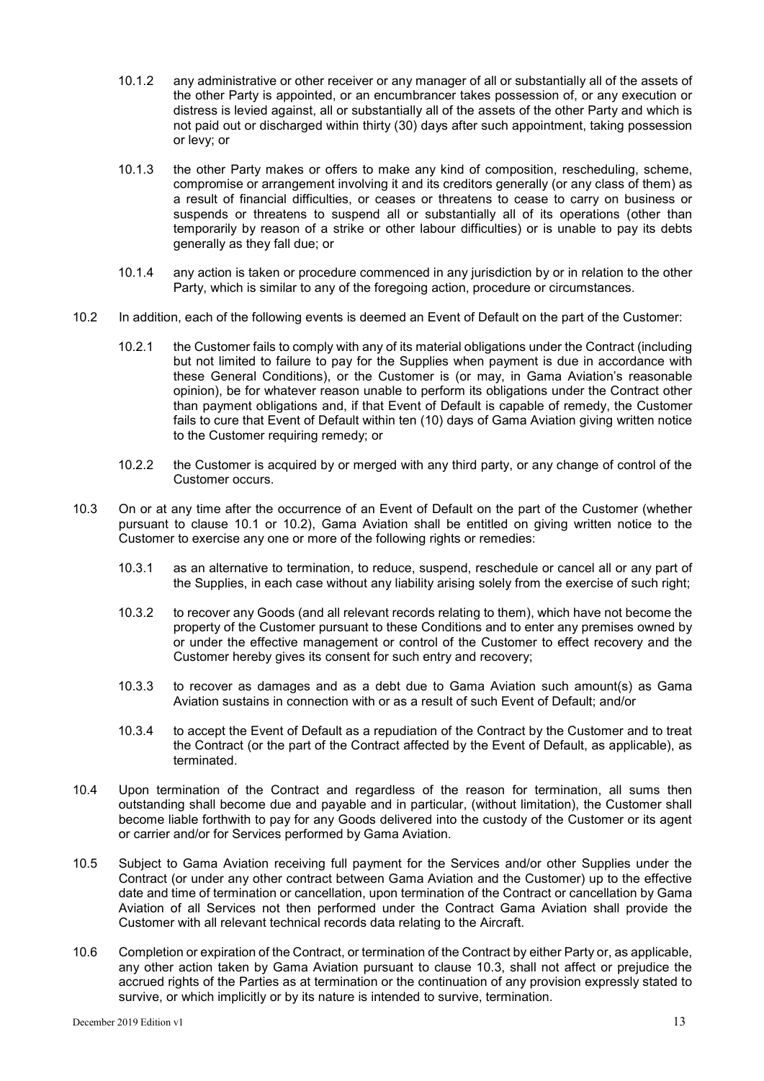- 10.1.2 any administrative or other receiver or any manager of all or substantially all of the assets of the other Party is appointed, or an encumbrancer takes possession of, or any execution or distress is levied against, all or substantially all of the assets of the other Party and which is not paid out or discharged within thirty (30) days after such appointment, taking possession or levy; or
- 10.1.3 the other Party makes or offers to make any kind of composition, rescheduling, scheme, compromise or arrangement involving it and its creditors generally (or any class of them) as a result of financial difficulties, or ceases or threatens to cease to carry on business or suspends or threatens to suspend all or substantially all of its operations (other than temporarily by reason of a strike or other labour difficulties) or is unable to pay its debts generally as they fall due; or
- 10.1.4 any action is taken or procedure commenced in any jurisdiction by or in relation to the other Party, which is similar to any of the foregoing action, procedure or circumstances.
- 10.2 In addition, each of the following events is deemed an Event of Default on the part of the Customer:
	- 10.2.1 the Customer fails to comply with any of its material obligations under the Contract (including but not limited to failure to pay for the Supplies when payment is due in accordance with these General Conditions), or the Customer is (or may, in Gama Aviation's reasonable opinion), be for whatever reason unable to perform its obligations under the Contract other than payment obligations and, if that Event of Default is capable of remedy, the Customer fails to cure that Event of Default within ten (10) days of Gama Aviation giving written notice to the Customer requiring remedy; or
	- 10.2.2 the Customer is acquired by or merged with any third party, or any change of control of the Customer occurs.
- 10.3 On or at any time after the occurrence of an Event of Default on the part of the Customer (whether pursuant to clause 10.1 or 10.2), Gama Aviation shall be entitled on giving written notice to the Customer to exercise any one or more of the following rights or remedies:
	- 10.3.1 as an alternative to termination, to reduce, suspend, reschedule or cancel all or any part of the Supplies, in each case without any liability arising solely from the exercise of such right;
	- 10.3.2 to recover any Goods (and all relevant records relating to them), which have not become the property of the Customer pursuant to these Conditions and to enter any premises owned by or under the effective management or control of the Customer to effect recovery and the Customer hereby gives its consent for such entry and recovery;
	- 10.3.3 to recover as damages and as a debt due to Gama Aviation such amount(s) as Gama Aviation sustains in connection with or as a result of such Event of Default; and/or
	- 10.3.4 to accept the Event of Default as a repudiation of the Contract by the Customer and to treat the Contract (or the part of the Contract affected by the Event of Default, as applicable), as terminated.
- 10.4 Upon termination of the Contract and regardless of the reason for termination, all sums then outstanding shall become due and payable and in particular, (without limitation), the Customer shall become liable forthwith to pay for any Goods delivered into the custody of the Customer or its agent or carrier and/or for Services performed by Gama Aviation.
- 10.5 Subject to Gama Aviation receiving full payment for the Services and/or other Supplies under the Contract (or under any other contract between Gama Aviation and the Customer) up to the effective date and time of termination or cancellation, upon termination of the Contract or cancellation by Gama Aviation of all Services not then performed under the Contract Gama Aviation shall provide the Customer with all relevant technical records data relating to the Aircraft.
- 10.6 Completion or expiration of the Contract, or termination of the Contract by either Party or, as applicable, any other action taken by Gama Aviation pursuant to clause 10.3, shall not affect or prejudice the accrued rights of the Parties as at termination or the continuation of any provision expressly stated to survive, or which implicitly or by its nature is intended to survive, termination.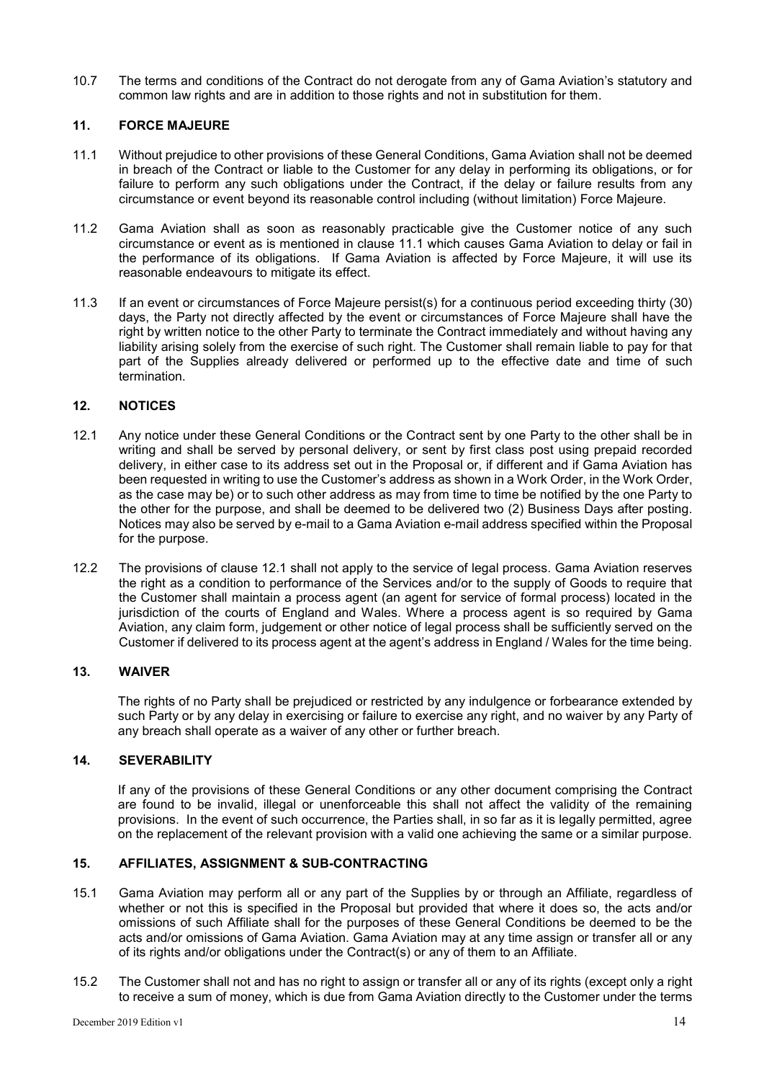10.7 The terms and conditions of the Contract do not derogate from any of Gama Aviation's statutory and common law rights and are in addition to those rights and not in substitution for them.

# **11. FORCE MAJEURE**

- 11.1 Without prejudice to other provisions of these General Conditions, Gama Aviation shall not be deemed in breach of the Contract or liable to the Customer for any delay in performing its obligations, or for failure to perform any such obligations under the Contract, if the delay or failure results from any circumstance or event beyond its reasonable control including (without limitation) Force Majeure.
- 11.2 Gama Aviation shall as soon as reasonably practicable give the Customer notice of any such circumstance or event as is mentioned in clause 11.1 which causes Gama Aviation to delay or fail in the performance of its obligations. If Gama Aviation is affected by Force Majeure, it will use its reasonable endeavours to mitigate its effect.
- 11.3 If an event or circumstances of Force Majeure persist(s) for a continuous period exceeding thirty (30) days, the Party not directly affected by the event or circumstances of Force Majeure shall have the right by written notice to the other Party to terminate the Contract immediately and without having any liability arising solely from the exercise of such right. The Customer shall remain liable to pay for that part of the Supplies already delivered or performed up to the effective date and time of such termination.

# **12. NOTICES**

- 12.1 Any notice under these General Conditions or the Contract sent by one Party to the other shall be in writing and shall be served by personal delivery, or sent by first class post using prepaid recorded delivery, in either case to its address set out in the Proposal or, if different and if Gama Aviation has been requested in writing to use the Customer's address as shown in a Work Order, in the Work Order, as the case may be) or to such other address as may from time to time be notified by the one Party to the other for the purpose, and shall be deemed to be delivered two (2) Business Days after posting. Notices may also be served by e-mail to a Gama Aviation e-mail address specified within the Proposal for the purpose.
- 12.2 The provisions of clause 12.1 shall not apply to the service of legal process. Gama Aviation reserves the right as a condition to performance of the Services and/or to the supply of Goods to require that the Customer shall maintain a process agent (an agent for service of formal process) located in the jurisdiction of the courts of England and Wales. Where a process agent is so required by Gama Aviation, any claim form, judgement or other notice of legal process shall be sufficiently served on the Customer if delivered to its process agent at the agent's address in England / Wales for the time being.

# **13. WAIVER**

The rights of no Party shall be prejudiced or restricted by any indulgence or forbearance extended by such Party or by any delay in exercising or failure to exercise any right, and no waiver by any Party of any breach shall operate as a waiver of any other or further breach.

# **14. SEVERABILITY**

If any of the provisions of these General Conditions or any other document comprising the Contract are found to be invalid, illegal or unenforceable this shall not affect the validity of the remaining provisions. In the event of such occurrence, the Parties shall, in so far as it is legally permitted, agree on the replacement of the relevant provision with a valid one achieving the same or a similar purpose.

# **15. AFFILIATES, ASSIGNMENT & SUB-CONTRACTING**

- 15.1 Gama Aviation may perform all or any part of the Supplies by or through an Affiliate, regardless of whether or not this is specified in the Proposal but provided that where it does so, the acts and/or omissions of such Affiliate shall for the purposes of these General Conditions be deemed to be the acts and/or omissions of Gama Aviation. Gama Aviation may at any time assign or transfer all or any of its rights and/or obligations under the Contract(s) or any of them to an Affiliate.
- 15.2 The Customer shall not and has no right to assign or transfer all or any of its rights (except only a right to receive a sum of money, which is due from Gama Aviation directly to the Customer under the terms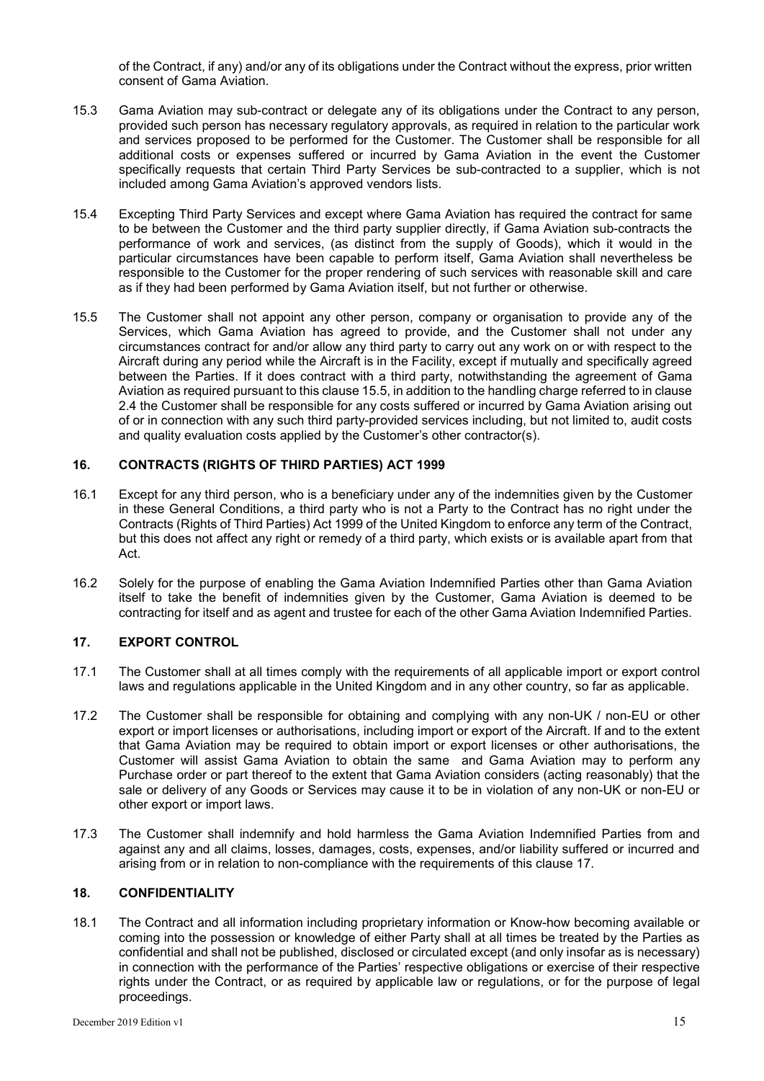of the Contract, if any) and/or any of its obligations under the Contract without the express, prior written consent of Gama Aviation.

- 15.3 Gama Aviation may sub-contract or delegate any of its obligations under the Contract to any person, provided such person has necessary regulatory approvals, as required in relation to the particular work and services proposed to be performed for the Customer. The Customer shall be responsible for all additional costs or expenses suffered or incurred by Gama Aviation in the event the Customer specifically requests that certain Third Party Services be sub-contracted to a supplier, which is not included among Gama Aviation's approved vendors lists.
- 15.4 Excepting Third Party Services and except where Gama Aviation has required the contract for same to be between the Customer and the third party supplier directly, if Gama Aviation sub-contracts the performance of work and services, (as distinct from the supply of Goods), which it would in the particular circumstances have been capable to perform itself, Gama Aviation shall nevertheless be responsible to the Customer for the proper rendering of such services with reasonable skill and care as if they had been performed by Gama Aviation itself, but not further or otherwise.
- 15.5 The Customer shall not appoint any other person, company or organisation to provide any of the Services, which Gama Aviation has agreed to provide, and the Customer shall not under any circumstances contract for and/or allow any third party to carry out any work on or with respect to the Aircraft during any period while the Aircraft is in the Facility, except if mutually and specifically agreed between the Parties. If it does contract with a third party, notwithstanding the agreement of Gama Aviation as required pursuant to this clause 15.5, in addition to the handling charge referred to in clause 2.4 the Customer shall be responsible for any costs suffered or incurred by Gama Aviation arising out of or in connection with any such third party-provided services including, but not limited to, audit costs and quality evaluation costs applied by the Customer's other contractor(s).

# **16. CONTRACTS (RIGHTS OF THIRD PARTIES) ACT 1999**

- 16.1 Except for any third person, who is a beneficiary under any of the indemnities given by the Customer in these General Conditions, a third party who is not a Party to the Contract has no right under the Contracts (Rights of Third Parties) Act 1999 of the United Kingdom to enforce any term of the Contract, but this does not affect any right or remedy of a third party, which exists or is available apart from that Act.
- 16.2 Solely for the purpose of enabling the Gama Aviation Indemnified Parties other than Gama Aviation itself to take the benefit of indemnities given by the Customer, Gama Aviation is deemed to be contracting for itself and as agent and trustee for each of the other Gama Aviation Indemnified Parties.

# **17. EXPORT CONTROL**

- 17.1 The Customer shall at all times comply with the requirements of all applicable import or export control laws and regulations applicable in the United Kingdom and in any other country, so far as applicable.
- 17.2 The Customer shall be responsible for obtaining and complying with any non-UK / non-EU or other export or import licenses or authorisations, including import or export of the Aircraft. If and to the extent that Gama Aviation may be required to obtain import or export licenses or other authorisations, the Customer will assist Gama Aviation to obtain the same and Gama Aviation may to perform any Purchase order or part thereof to the extent that Gama Aviation considers (acting reasonably) that the sale or delivery of any Goods or Services may cause it to be in violation of any non-UK or non-EU or other export or import laws.
- 17.3 The Customer shall indemnify and hold harmless the Gama Aviation Indemnified Parties from and against any and all claims, losses, damages, costs, expenses, and/or liability suffered or incurred and arising from or in relation to non-compliance with the requirements of this clause 17.

#### **18. CONFIDENTIALITY**

18.1 The Contract and all information including proprietary information or Know-how becoming available or coming into the possession or knowledge of either Party shall at all times be treated by the Parties as confidential and shall not be published, disclosed or circulated except (and only insofar as is necessary) in connection with the performance of the Parties' respective obligations or exercise of their respective rights under the Contract, or as required by applicable law or regulations, or for the purpose of legal proceedings.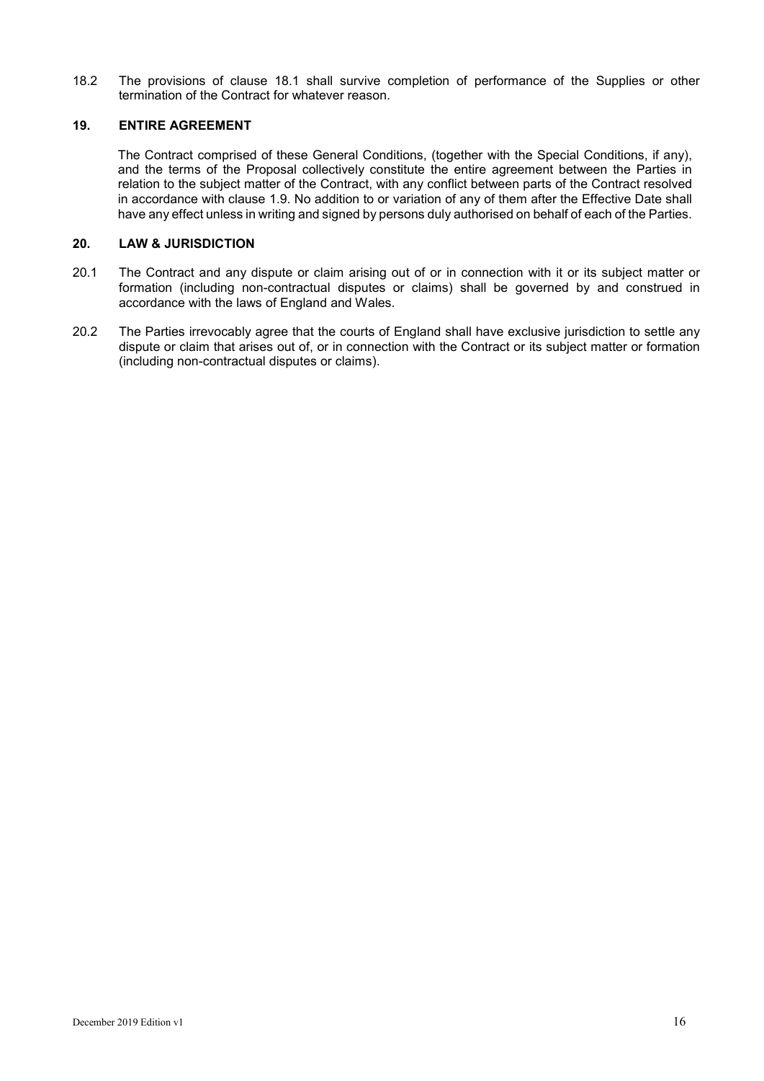18.2 The provisions of clause 18.1 shall survive completion of performance of the Supplies or other termination of the Contract for whatever reason.

## **19. ENTIRE AGREEMENT**

The Contract comprised of these General Conditions, (together with the Special Conditions, if any), and the terms of the Proposal collectively constitute the entire agreement between the Parties in relation to the subject matter of the Contract, with any conflict between parts of the Contract resolved in accordance with clause 1.9. No addition to or variation of any of them after the Effective Date shall have any effect unless in writing and signed by persons duly authorised on behalf of each of the Parties.

#### **20. LAW & JURISDICTION**

- 20.1 The Contract and any dispute or claim arising out of or in connection with it or its subject matter or formation (including non-contractual disputes or claims) shall be governed by and construed in accordance with the laws of England and Wales.
- 20.2 The Parties irrevocably agree that the courts of England shall have exclusive jurisdiction to settle any dispute or claim that arises out of, or in connection with the Contract or its subject matter or formation (including non-contractual disputes or claims).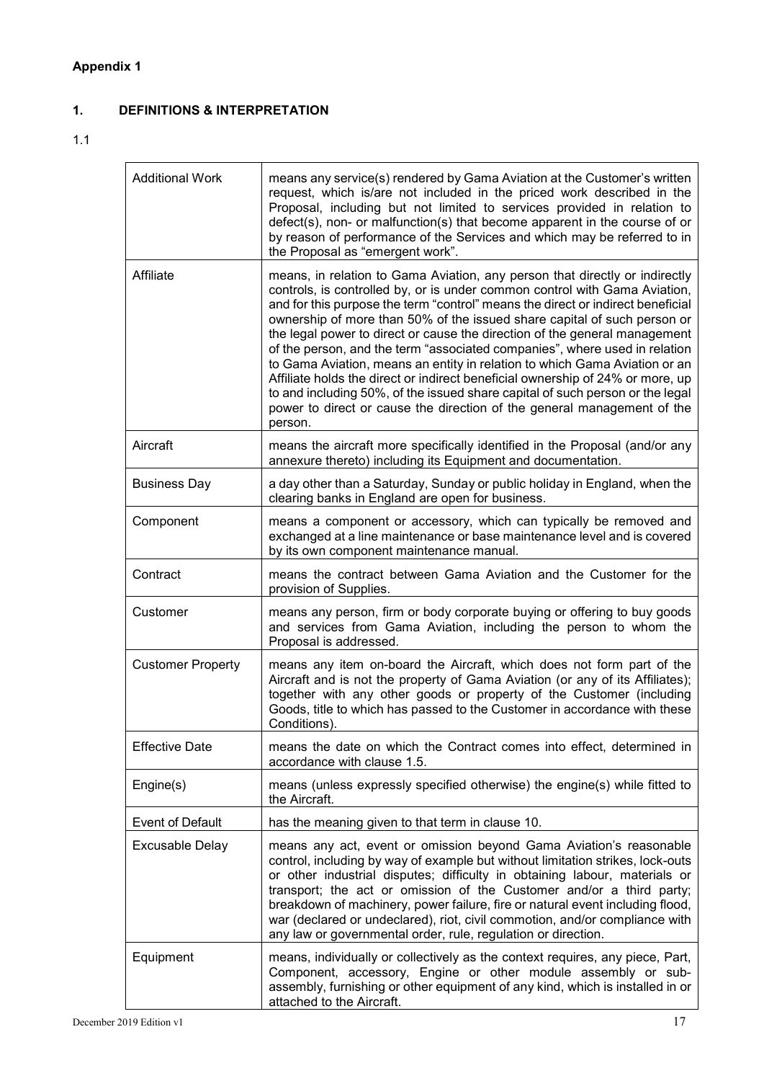# **1. DEFINITIONS & INTERPRETATION**

# 1.1

| <b>Additional Work</b>   | means any service(s) rendered by Gama Aviation at the Customer's written<br>request, which is/are not included in the priced work described in the<br>Proposal, including but not limited to services provided in relation to<br>defect(s), non- or malfunction(s) that become apparent in the course of or<br>by reason of performance of the Services and which may be referred to in<br>the Proposal as "emergent work".                                                                                                                                                                                                                                                                                                                                                                                                 |
|--------------------------|-----------------------------------------------------------------------------------------------------------------------------------------------------------------------------------------------------------------------------------------------------------------------------------------------------------------------------------------------------------------------------------------------------------------------------------------------------------------------------------------------------------------------------------------------------------------------------------------------------------------------------------------------------------------------------------------------------------------------------------------------------------------------------------------------------------------------------|
| Affiliate                | means, in relation to Gama Aviation, any person that directly or indirectly<br>controls, is controlled by, or is under common control with Gama Aviation,<br>and for this purpose the term "control" means the direct or indirect beneficial<br>ownership of more than 50% of the issued share capital of such person or<br>the legal power to direct or cause the direction of the general management<br>of the person, and the term "associated companies", where used in relation<br>to Gama Aviation, means an entity in relation to which Gama Aviation or an<br>Affiliate holds the direct or indirect beneficial ownership of 24% or more, up<br>to and including 50%, of the issued share capital of such person or the legal<br>power to direct or cause the direction of the general management of the<br>person. |
| Aircraft                 | means the aircraft more specifically identified in the Proposal (and/or any<br>annexure thereto) including its Equipment and documentation.                                                                                                                                                                                                                                                                                                                                                                                                                                                                                                                                                                                                                                                                                 |
| <b>Business Day</b>      | a day other than a Saturday, Sunday or public holiday in England, when the<br>clearing banks in England are open for business.                                                                                                                                                                                                                                                                                                                                                                                                                                                                                                                                                                                                                                                                                              |
| Component                | means a component or accessory, which can typically be removed and<br>exchanged at a line maintenance or base maintenance level and is covered<br>by its own component maintenance manual.                                                                                                                                                                                                                                                                                                                                                                                                                                                                                                                                                                                                                                  |
| Contract                 | means the contract between Gama Aviation and the Customer for the<br>provision of Supplies.                                                                                                                                                                                                                                                                                                                                                                                                                                                                                                                                                                                                                                                                                                                                 |
| Customer                 | means any person, firm or body corporate buying or offering to buy goods<br>and services from Gama Aviation, including the person to whom the<br>Proposal is addressed.                                                                                                                                                                                                                                                                                                                                                                                                                                                                                                                                                                                                                                                     |
| <b>Customer Property</b> | means any item on-board the Aircraft, which does not form part of the<br>Aircraft and is not the property of Gama Aviation (or any of its Affiliates);<br>together with any other goods or property of the Customer (including<br>Goods, title to which has passed to the Customer in accordance with these<br>Conditions).                                                                                                                                                                                                                                                                                                                                                                                                                                                                                                 |
| <b>Effective Date</b>    | means the date on which the Contract comes into effect, determined in<br>accordance with clause 1.5.                                                                                                                                                                                                                                                                                                                                                                                                                                                                                                                                                                                                                                                                                                                        |
| Engine(s)                | means (unless expressly specified otherwise) the engine(s) while fitted to<br>the Aircraft.                                                                                                                                                                                                                                                                                                                                                                                                                                                                                                                                                                                                                                                                                                                                 |
| <b>Event of Default</b>  | has the meaning given to that term in clause 10.                                                                                                                                                                                                                                                                                                                                                                                                                                                                                                                                                                                                                                                                                                                                                                            |
| <b>Excusable Delay</b>   | means any act, event or omission beyond Gama Aviation's reasonable<br>control, including by way of example but without limitation strikes, lock-outs<br>or other industrial disputes; difficulty in obtaining labour, materials or<br>transport; the act or omission of the Customer and/or a third party;<br>breakdown of machinery, power failure, fire or natural event including flood,<br>war (declared or undeclared), riot, civil commotion, and/or compliance with<br>any law or governmental order, rule, regulation or direction.                                                                                                                                                                                                                                                                                 |
| Equipment                | means, individually or collectively as the context requires, any piece, Part,<br>Component, accessory, Engine or other module assembly or sub-<br>assembly, furnishing or other equipment of any kind, which is installed in or<br>attached to the Aircraft.                                                                                                                                                                                                                                                                                                                                                                                                                                                                                                                                                                |

<u> 1989 - Johann John Stein, markin fan it ferskearre fan it ferskearre fan it ferskearre fan it ferskearre fan</u>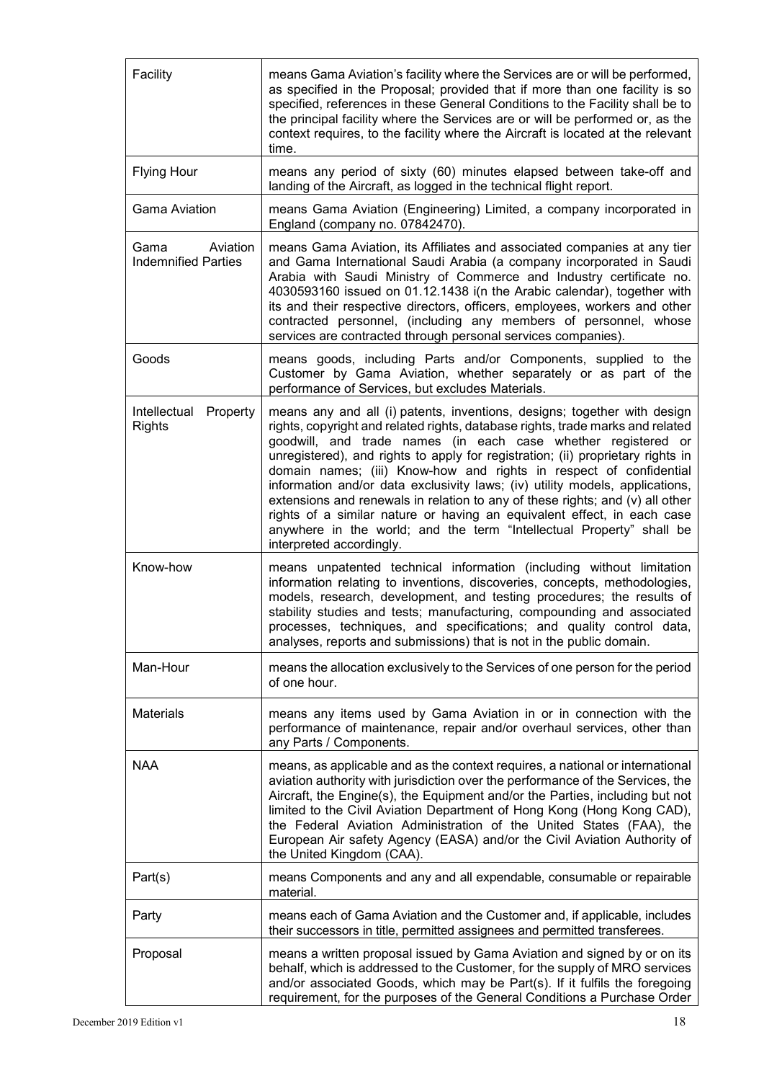| Facility                                       | means Gama Aviation's facility where the Services are or will be performed,<br>as specified in the Proposal; provided that if more than one facility is so<br>specified, references in these General Conditions to the Facility shall be to<br>the principal facility where the Services are or will be performed or, as the<br>context requires, to the facility where the Aircraft is located at the relevant<br>time.                                                                                                                                                                                                                                                                                                             |
|------------------------------------------------|--------------------------------------------------------------------------------------------------------------------------------------------------------------------------------------------------------------------------------------------------------------------------------------------------------------------------------------------------------------------------------------------------------------------------------------------------------------------------------------------------------------------------------------------------------------------------------------------------------------------------------------------------------------------------------------------------------------------------------------|
| <b>Flying Hour</b>                             | means any period of sixty (60) minutes elapsed between take-off and<br>landing of the Aircraft, as logged in the technical flight report.                                                                                                                                                                                                                                                                                                                                                                                                                                                                                                                                                                                            |
| <b>Gama Aviation</b>                           | means Gama Aviation (Engineering) Limited, a company incorporated in<br>England (company no. 07842470).                                                                                                                                                                                                                                                                                                                                                                                                                                                                                                                                                                                                                              |
| Aviation<br>Gama<br><b>Indemnified Parties</b> | means Gama Aviation, its Affiliates and associated companies at any tier<br>and Gama International Saudi Arabia (a company incorporated in Saudi<br>Arabia with Saudi Ministry of Commerce and Industry certificate no.<br>4030593160 issued on 01.12.1438 i(n the Arabic calendar), together with<br>its and their respective directors, officers, employees, workers and other<br>contracted personnel, (including any members of personnel, whose<br>services are contracted through personal services companies).                                                                                                                                                                                                                |
| Goods                                          | means goods, including Parts and/or Components, supplied to the<br>Customer by Gama Aviation, whether separately or as part of the<br>performance of Services, but excludes Materials.                                                                                                                                                                                                                                                                                                                                                                                                                                                                                                                                               |
| Intellectual<br>Property<br><b>Rights</b>      | means any and all (i) patents, inventions, designs; together with design<br>rights, copyright and related rights, database rights, trade marks and related<br>goodwill, and trade names (in each case whether registered or<br>unregistered), and rights to apply for registration; (ii) proprietary rights in<br>domain names; (iii) Know-how and rights in respect of confidential<br>information and/or data exclusivity laws; (iv) utility models, applications,<br>extensions and renewals in relation to any of these rights; and (v) all other<br>rights of a similar nature or having an equivalent effect, in each case<br>anywhere in the world; and the term "Intellectual Property" shall be<br>interpreted accordingly. |
| Know-how                                       | means unpatented technical information (including without limitation<br>information relating to inventions, discoveries, concepts, methodologies,<br>models, research, development, and testing procedures; the results of<br>stability studies and tests; manufacturing, compounding and associated<br>processes, techniques, and specifications; and quality control data,<br>analyses, reports and submissions) that is not in the public domain.                                                                                                                                                                                                                                                                                 |
| Man-Hour                                       | means the allocation exclusively to the Services of one person for the period<br>of one hour.                                                                                                                                                                                                                                                                                                                                                                                                                                                                                                                                                                                                                                        |
| <b>Materials</b>                               | means any items used by Gama Aviation in or in connection with the<br>performance of maintenance, repair and/or overhaul services, other than<br>any Parts / Components.                                                                                                                                                                                                                                                                                                                                                                                                                                                                                                                                                             |
| <b>NAA</b>                                     | means, as applicable and as the context requires, a national or international<br>aviation authority with jurisdiction over the performance of the Services, the<br>Aircraft, the Engine(s), the Equipment and/or the Parties, including but not<br>limited to the Civil Aviation Department of Hong Kong (Hong Kong CAD),<br>the Federal Aviation Administration of the United States (FAA), the<br>European Air safety Agency (EASA) and/or the Civil Aviation Authority of<br>the United Kingdom (CAA).                                                                                                                                                                                                                            |
| Part(s)                                        | means Components and any and all expendable, consumable or repairable<br>material.                                                                                                                                                                                                                                                                                                                                                                                                                                                                                                                                                                                                                                                   |
| Party                                          | means each of Gama Aviation and the Customer and, if applicable, includes<br>their successors in title, permitted assignees and permitted transferees.                                                                                                                                                                                                                                                                                                                                                                                                                                                                                                                                                                               |
| Proposal                                       | means a written proposal issued by Gama Aviation and signed by or on its<br>behalf, which is addressed to the Customer, for the supply of MRO services<br>and/or associated Goods, which may be Part(s). If it fulfils the foregoing<br>requirement, for the purposes of the General Conditions a Purchase Order                                                                                                                                                                                                                                                                                                                                                                                                                     |